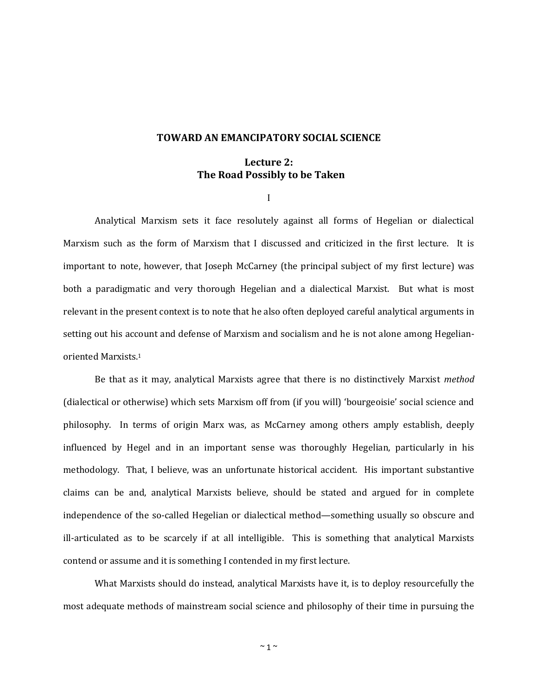## **TOWARD AN EMANCIPATORY SOCIAL SCIENCE**

# **Lecture 2: The Road Possibly to be Taken**

I

Analytical Marxism sets it face resolutely against all forms of Hegelian or dialectical Marxism such as the form of Marxism that I discussed and criticized in the first lecture. It is important to note, however, that Joseph McCarney (the principal subject of my first lecture) was both a paradigmatic and very thorough Hegelian and a dialectical Marxist. But what is most relevant in the present context is to note that he also often deployed careful analytical arguments in setting out his account and defense of Marxism and socialism and he is not alone among Hegelianoriented Marxists.<sup>1</sup>

Be that as it may, analytical Marxists agree that there is no distinctively Marxist *method* (dialectical or otherwise) which sets Marxism off from (if you will) 'bourgeoisie' social science and philosophy. In terms of origin Marx was, as McCarney among others amply establish, deeply influenced by Hegel and in an important sense was thoroughly Hegelian, particularly in his methodology. That, I believe, was an unfortunate historical accident. His important substantive claims can be and, analytical Marxists believe, should be stated and argued for in complete independence of the so-called Hegelian or dialectical method—something usually so obscure and ill-articulated as to be scarcely if at all intelligible. This is something that analytical Marxists contend or assume and it is something I contended in my first lecture.

What Marxists should do instead, analytical Marxists have it, is to deploy resourcefully the most adequate methods of mainstream social science and philosophy of their time in pursuing the

 $\sim$  1  $\sim$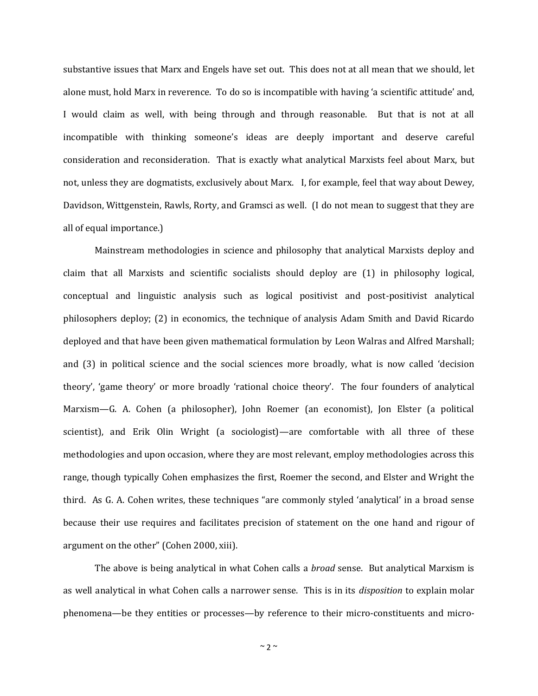substantive issues that Marx and Engels have set out. This does not at all mean that we should, let alone must, hold Marx in reverence. To do so is incompatible with having 'a scientific attitude' and, I would claim as well, with being through and through reasonable. But that is not at all incompatible with thinking someone's ideas are deeply important and deserve careful consideration and reconsideration. That is exactly what analytical Marxists feel about Marx, but not, unless they are dogmatists, exclusively about Marx. I, for example, feel that way about Dewey, Davidson, Wittgenstein, Rawls, Rorty, and Gramsci as well. (I do not mean to suggest that they are all of equal importance.)

Mainstream methodologies in science and philosophy that analytical Marxists deploy and claim that all Marxists and scientific socialists should deploy are (1) in philosophy logical, conceptual and linguistic analysis such as logical positivist and post-positivist analytical philosophers deploy; (2) in economics, the technique of analysis Adam Smith and David Ricardo deployed and that have been given mathematical formulation by Leon Walras and Alfred Marshall; and (3) in political science and the social sciences more broadly, what is now called 'decision theory', 'game theory' or more broadly 'rational choice theory'. The four founders of analytical Marxism—G. A. Cohen (a philosopher), John Roemer (an economist), Jon Elster (a political scientist), and Erik Olin Wright (a sociologist)—are comfortable with all three of these methodologies and upon occasion, where they are most relevant, employ methodologies across this range, though typically Cohen emphasizes the first, Roemer the second, and Elster and Wright the third. As G. A. Cohen writes, these techniques "are commonly styled 'analytical' in a broad sense because their use requires and facilitates precision of statement on the one hand and rigour of argument on the other" (Cohen 2000, xiii).

The above is being analytical in what Cohen calls a *broad* sense. But analytical Marxism is as well analytical in what Cohen calls a narrower sense. This is in its *disposition* to explain molar phenomena—be they entities or processes—by reference to their micro-constituents and micro-

 $~\sim$  2  $~\sim$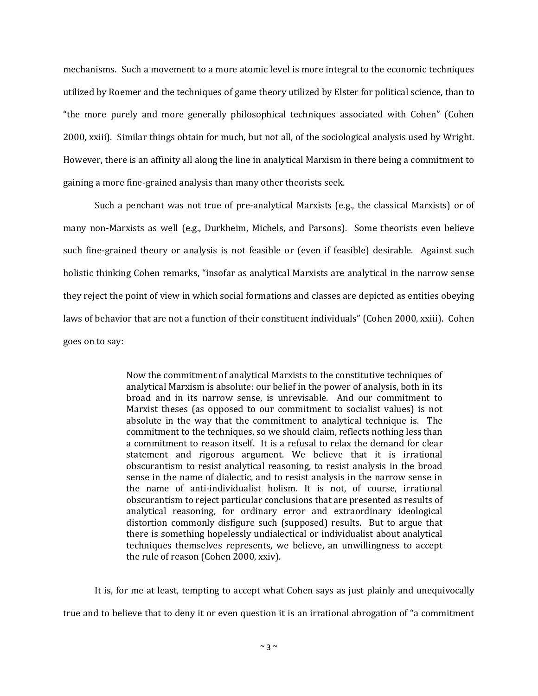mechanisms. Such a movement to a more atomic level is more integral to the economic techniques utilized by Roemer and the techniques of game theory utilized by Elster for political science, than to "the more purely and more generally philosophical techniques associated with Cohen" (Cohen 2000, xxiii). Similar things obtain for much, but not all, of the sociological analysis used by Wright. However, there is an affinity all along the line in analytical Marxism in there being a commitment to gaining a more fine-grained analysis than many other theorists seek.

Such a penchant was not true of pre-analytical Marxists (e.g., the classical Marxists) or of many non-Marxists as well (e.g., Durkheim, Michels, and Parsons). Some theorists even believe such fine-grained theory or analysis is not feasible or (even if feasible) desirable. Against such holistic thinking Cohen remarks, "insofar as analytical Marxists are analytical in the narrow sense they reject the point of view in which social formations and classes are depicted as entities obeying laws of behavior that are not a function of their constituent individuals" (Cohen 2000, xxiii). Cohen goes on to say:

> Now the commitment of analytical Marxists to the constitutive techniques of analytical Marxism is absolute: our belief in the power of analysis, both in its broad and in its narrow sense, is unrevisable. And our commitment to Marxist theses (as opposed to our commitment to socialist values) is not absolute in the way that the commitment to analytical technique is. The commitment to the techniques, so we should claim, reflects nothing less than a commitment to reason itself. It is a refusal to relax the demand for clear statement and rigorous argument. We believe that it is irrational obscurantism to resist analytical reasoning, to resist analysis in the broad sense in the name of dialectic, and to resist analysis in the narrow sense in the name of anti-individualist holism. It is not, of course, irrational obscurantism to reject particular conclusions that are presented as results of analytical reasoning, for ordinary error and extraordinary ideological distortion commonly disfigure such (supposed) results. But to argue that there is something hopelessly undialectical or individualist about analytical techniques themselves represents, we believe, an unwillingness to accept the rule of reason (Cohen 2000, xxiv).

It is, for me at least, tempting to accept what Cohen says as just plainly and unequivocally true and to believe that to deny it or even question it is an irrational abrogation of "a commitment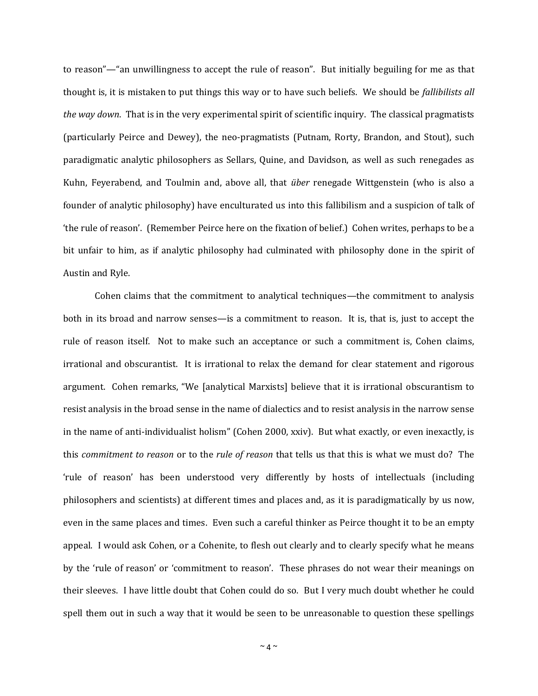to reason"—"an unwillingness to accept the rule of reason". But initially beguiling for me as that thought is, it is mistaken to put things this way or to have such beliefs. We should be *fallibilists all the way down*. That is in the very experimental spirit of scientific inquiry. The classical pragmatists (particularly Peirce and Dewey), the neo-pragmatists (Putnam, Rorty, Brandon, and Stout), such paradigmatic analytic philosophers as Sellars, Quine, and Davidson, as well as such renegades as Kuhn, Feyerabend, and Toulmin and, above all, that *über* renegade Wittgenstein (who is also a founder of analytic philosophy) have enculturated us into this fallibilism and a suspicion of talk of 'the rule of reason'. (Remember Peirce here on the fixation of belief.) Cohen writes, perhaps to be a bit unfair to him, as if analytic philosophy had culminated with philosophy done in the spirit of Austin and Ryle.

Cohen claims that the commitment to analytical techniques—the commitment to analysis both in its broad and narrow senses—is a commitment to reason. It is, that is, just to accept the rule of reason itself. Not to make such an acceptance or such a commitment is, Cohen claims, irrational and obscurantist. It is irrational to relax the demand for clear statement and rigorous argument. Cohen remarks, "We [analytical Marxists] believe that it is irrational obscurantism to resist analysis in the broad sense in the name of dialectics and to resist analysis in the narrow sense in the name of anti-individualist holism" (Cohen 2000, xxiv). But what exactly, or even inexactly, is this *commitment to reason* or to the *rule of reason* that tells us that this is what we must do? The 'rule of reason' has been understood very differently by hosts of intellectuals (including philosophers and scientists) at different times and places and, as it is paradigmatically by us now, even in the same places and times. Even such a careful thinker as Peirce thought it to be an empty appeal. I would ask Cohen, or a Cohenite, to flesh out clearly and to clearly specify what he means by the 'rule of reason' or 'commitment to reason'. These phrases do not wear their meanings on their sleeves. I have little doubt that Cohen could do so. But I very much doubt whether he could spell them out in such a way that it would be seen to be unreasonable to question these spellings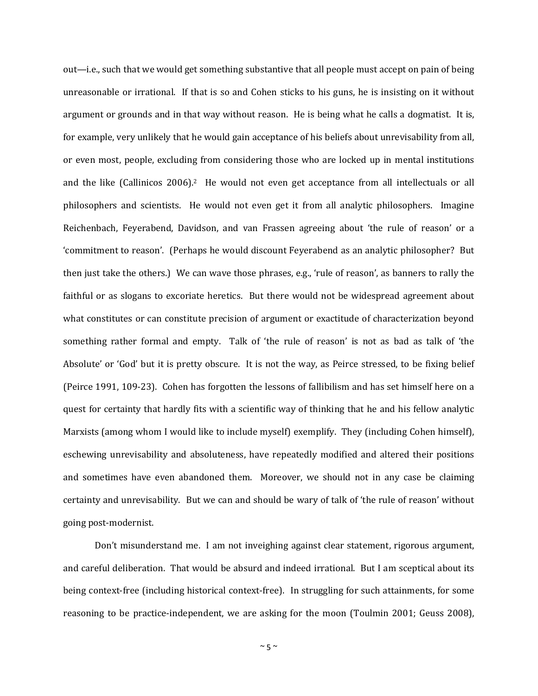out—i.e., such that we would get something substantive that all people must accept on pain of being unreasonable or irrational. If that is so and Cohen sticks to his guns, he is insisting on it without argument or grounds and in that way without reason. He is being what he calls a dogmatist. It is, for example, very unlikely that he would gain acceptance of his beliefs about unrevisability from all, or even most, people, excluding from considering those who are locked up in mental institutions and the like (Callinicos 2006).<sup>2</sup> He would not even get acceptance from all intellectuals or all philosophers and scientists. He would not even get it from all analytic philosophers. Imagine Reichenbach, Feyerabend, Davidson, and van Frassen agreeing about 'the rule of reason' or a 'commitment to reason'. (Perhaps he would discount Feyerabend as an analytic philosopher? But then just take the others.) We can wave those phrases, e.g., 'rule of reason', as banners to rally the faithful or as slogans to excoriate heretics. But there would not be widespread agreement about what constitutes or can constitute precision of argument or exactitude of characterization beyond something rather formal and empty. Talk of 'the rule of reason' is not as bad as talk of 'the Absolute' or 'God' but it is pretty obscure. It is not the way, as Peirce stressed, to be fixing belief (Peirce 1991, 109-23). Cohen has forgotten the lessons of fallibilism and has set himself here on a quest for certainty that hardly fits with a scientific way of thinking that he and his fellow analytic Marxists (among whom I would like to include myself) exemplify. They (including Cohen himself), eschewing unrevisability and absoluteness, have repeatedly modified and altered their positions and sometimes have even abandoned them. Moreover, we should not in any case be claiming certainty and unrevisability. But we can and should be wary of talk of 'the rule of reason' without going post-modernist.

Don't misunderstand me. I am not inveighing against clear statement, rigorous argument, and careful deliberation. That would be absurd and indeed irrational. But I am sceptical about its being context-free (including historical context-free). In struggling for such attainments, for some reasoning to be practice-independent, we are asking for the moon (Toulmin 2001; Geuss 2008),

 $~\sim$  5  $~\sim$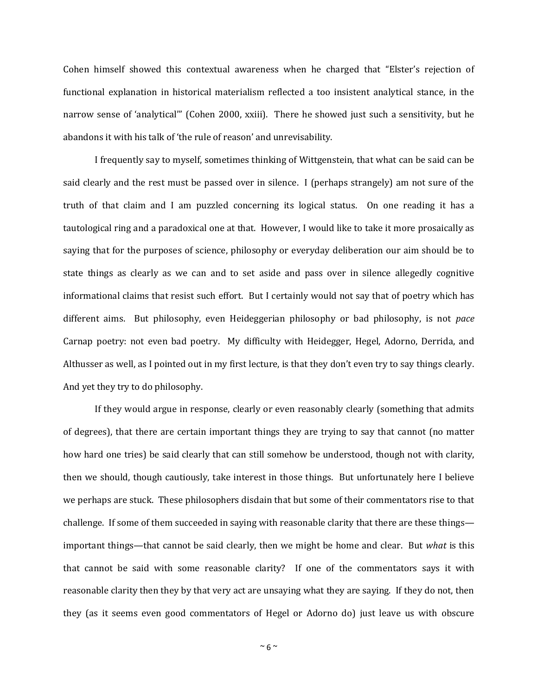Cohen himself showed this contextual awareness when he charged that "Elster's rejection of functional explanation in historical materialism reflected a too insistent analytical stance, in the narrow sense of 'analytical'" (Cohen 2000, xxiii). There he showed just such a sensitivity, but he abandons it with his talk of 'the rule of reason' and unrevisability.

I frequently say to myself, sometimes thinking of Wittgenstein, that what can be said can be said clearly and the rest must be passed over in silence. I (perhaps strangely) am not sure of the truth of that claim and I am puzzled concerning its logical status. On one reading it has a tautological ring and a paradoxical one at that. However, I would like to take it more prosaically as saying that for the purposes of science, philosophy or everyday deliberation our aim should be to state things as clearly as we can and to set aside and pass over in silence allegedly cognitive informational claims that resist such effort. But I certainly would not say that of poetry which has different aims. But philosophy, even Heideggerian philosophy or bad philosophy, is not *pace* Carnap poetry: not even bad poetry. My difficulty with Heidegger, Hegel, Adorno, Derrida, and Althusser as well, as I pointed out in my first lecture, is that they don't even try to say things clearly. And yet they try to do philosophy.

If they would argue in response, clearly or even reasonably clearly (something that admits of degrees), that there are certain important things they are trying to say that cannot (no matter how hard one tries) be said clearly that can still somehow be understood, though not with clarity, then we should, though cautiously, take interest in those things. But unfortunately here I believe we perhaps are stuck. These philosophers disdain that but some of their commentators rise to that challenge. If some of them succeeded in saying with reasonable clarity that there are these things important things—that cannot be said clearly, then we might be home and clear. But *what* is this that cannot be said with some reasonable clarity? If one of the commentators says it with reasonable clarity then they by that very act are unsaying what they are saying. If they do not, then they (as it seems even good commentators of Hegel or Adorno do) just leave us with obscure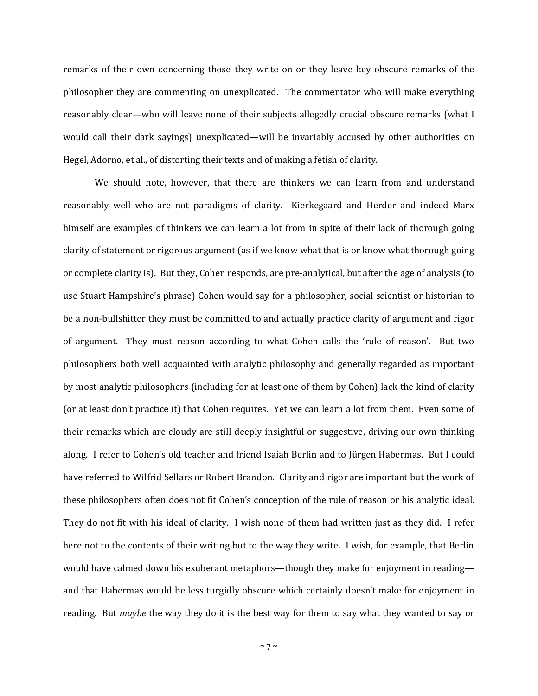remarks of their own concerning those they write on or they leave key obscure remarks of the philosopher they are commenting on unexplicated. The commentator who will make everything reasonably clear—who will leave none of their subjects allegedly crucial obscure remarks (what I would call their dark sayings) unexplicated—will be invariably accused by other authorities on Hegel, Adorno, et al., of distorting their texts and of making a fetish of clarity.

We should note, however, that there are thinkers we can learn from and understand reasonably well who are not paradigms of clarity. Kierkegaard and Herder and indeed Marx himself are examples of thinkers we can learn a lot from in spite of their lack of thorough going clarity of statement or rigorous argument (as if we know what that is or know what thorough going or complete clarity is). But they, Cohen responds, are pre-analytical, but after the age of analysis (to use Stuart Hampshire's phrase) Cohen would say for a philosopher, social scientist or historian to be a non-bullshitter they must be committed to and actually practice clarity of argument and rigor of argument. They must reason according to what Cohen calls the 'rule of reason'. But two philosophers both well acquainted with analytic philosophy and generally regarded as important by most analytic philosophers (including for at least one of them by Cohen) lack the kind of clarity (or at least don't practice it) that Cohen requires. Yet we can learn a lot from them. Even some of their remarks which are cloudy are still deeply insightful or suggestive, driving our own thinking along. I refer to Cohen's old teacher and friend Isaiah Berlin and to Jürgen Habermas. But I could have referred to Wilfrid Sellars or Robert Brandon. Clarity and rigor are important but the work of these philosophers often does not fit Cohen's conception of the rule of reason or his analytic ideal. They do not fit with his ideal of clarity. I wish none of them had written just as they did. I refer here not to the contents of their writing but to the way they write. I wish, for example, that Berlin would have calmed down his exuberant metaphors—though they make for enjoyment in reading and that Habermas would be less turgidly obscure which certainly doesn't make for enjoyment in reading. But *maybe* the way they do it is the best way for them to say what they wanted to say or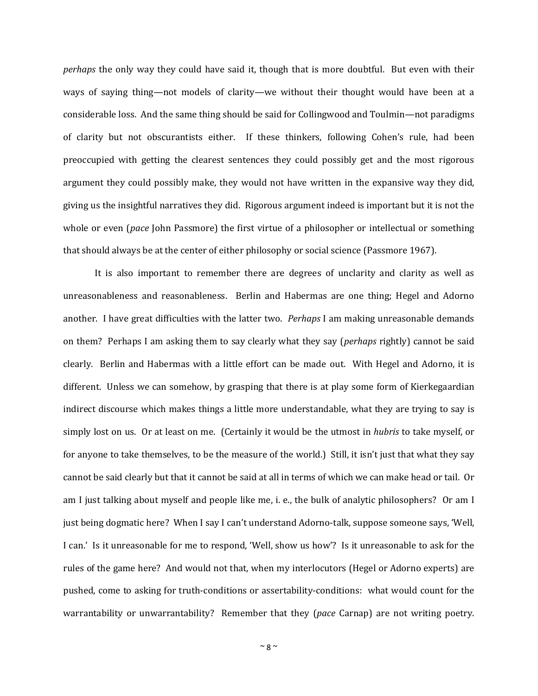*perhaps* the only way they could have said it, though that is more doubtful. But even with their ways of saying thing—not models of clarity—we without their thought would have been at a considerable loss. And the same thing should be said for Collingwood and Toulmin—not paradigms of clarity but not obscurantists either. If these thinkers, following Cohen's rule, had been preoccupied with getting the clearest sentences they could possibly get and the most rigorous argument they could possibly make, they would not have written in the expansive way they did, giving us the insightful narratives they did. Rigorous argument indeed is important but it is not the whole or even (*pace* John Passmore) the first virtue of a philosopher or intellectual or something that should always be at the center of either philosophy or social science (Passmore 1967).

It is also important to remember there are degrees of unclarity and clarity as well as unreasonableness and reasonableness. Berlin and Habermas are one thing; Hegel and Adorno another. I have great difficulties with the latter two. *Perhaps* I am making unreasonable demands on them? Perhaps I am asking them to say clearly what they say (*perhaps* rightly) cannot be said clearly. Berlin and Habermas with a little effort can be made out. With Hegel and Adorno, it is different. Unless we can somehow, by grasping that there is at play some form of Kierkegaardian indirect discourse which makes things a little more understandable, what they are trying to say is simply lost on us. Or at least on me. (Certainly it would be the utmost in *hubris* to take myself, or for anyone to take themselves, to be the measure of the world.) Still, it isn't just that what they say cannot be said clearly but that it cannot be said at all in terms of which we can make head or tail. Or am I just talking about myself and people like me, i. e., the bulk of analytic philosophers? Or am I just being dogmatic here? When I say I can't understand Adorno-talk, suppose someone says, 'Well, I can.' Is it unreasonable for me to respond, 'Well, show us how'? Is it unreasonable to ask for the rules of the game here? And would not that, when my interlocutors (Hegel or Adorno experts) are pushed, come to asking for truth-conditions or assertability-conditions: what would count for the warrantability or unwarrantability? Remember that they (*pace* Carnap) are not writing poetry.

 $~\sim$  8  $~\sim$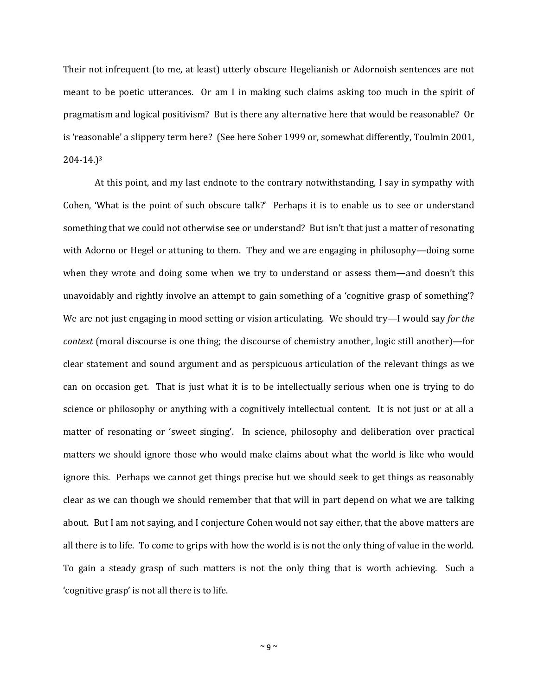Their not infrequent (to me, at least) utterly obscure Hegelianish or Adornoish sentences are not meant to be poetic utterances. Or am I in making such claims asking too much in the spirit of pragmatism and logical positivism? But is there any alternative here that would be reasonable? Or is 'reasonable' a slippery term here? (See here Sober 1999 or, somewhat differently, Toulmin 2001, 204-14.)<sup>3</sup>

At this point, and my last endnote to the contrary notwithstanding, I say in sympathy with Cohen, 'What is the point of such obscure talk?' Perhaps it is to enable us to see or understand something that we could not otherwise see or understand? But isn't that just a matter of resonating with Adorno or Hegel or attuning to them. They and we are engaging in philosophy—doing some when they wrote and doing some when we try to understand or assess them—and doesn't this unavoidably and rightly involve an attempt to gain something of a 'cognitive grasp of something'? We are not just engaging in mood setting or vision articulating. We should try—I would say *for the context* (moral discourse is one thing; the discourse of chemistry another, logic still another)—for clear statement and sound argument and as perspicuous articulation of the relevant things as we can on occasion get. That is just what it is to be intellectually serious when one is trying to do science or philosophy or anything with a cognitively intellectual content. It is not just or at all a matter of resonating or 'sweet singing'. In science, philosophy and deliberation over practical matters we should ignore those who would make claims about what the world is like who would ignore this. Perhaps we cannot get things precise but we should seek to get things as reasonably clear as we can though we should remember that that will in part depend on what we are talking about. But I am not saying, and I conjecture Cohen would not say either, that the above matters are all there is to life. To come to grips with how the world is is not the only thing of value in the world. To gain a steady grasp of such matters is not the only thing that is worth achieving. Such a 'cognitive grasp' is not all there is to life.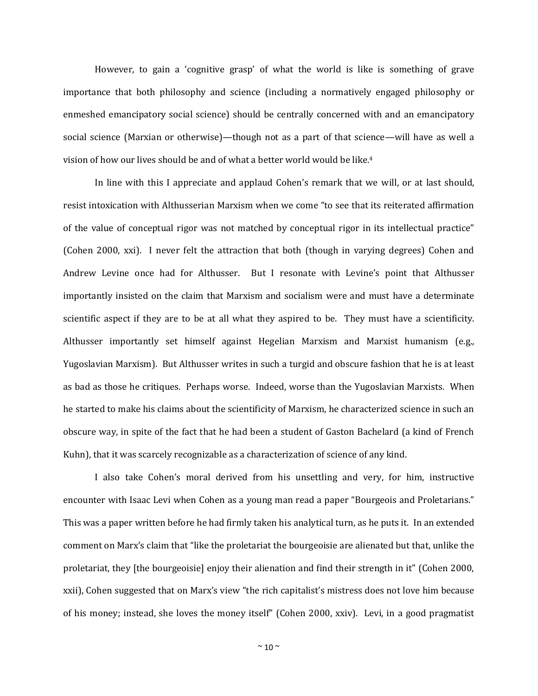However, to gain a 'cognitive grasp' of what the world is like is something of grave importance that both philosophy and science (including a normatively engaged philosophy or enmeshed emancipatory social science) should be centrally concerned with and an emancipatory social science (Marxian or otherwise)—though not as a part of that science—will have as well a vision of how our lives should be and of what a better world would be like. 4

In line with this I appreciate and applaud Cohen's remark that we will, or at last should, resist intoxication with Althusserian Marxism when we come "to see that its reiterated affirmation of the value of conceptual rigor was not matched by conceptual rigor in its intellectual practice" (Cohen 2000, xxi). I never felt the attraction that both (though in varying degrees) Cohen and Andrew Levine once had for Althusser. But I resonate with Levine's point that Althusser importantly insisted on the claim that Marxism and socialism were and must have a determinate scientific aspect if they are to be at all what they aspired to be. They must have a scientificity. Althusser importantly set himself against Hegelian Marxism and Marxist humanism (e.g., Yugoslavian Marxism). But Althusser writes in such a turgid and obscure fashion that he is at least as bad as those he critiques. Perhaps worse. Indeed, worse than the Yugoslavian Marxists. When he started to make his claims about the scientificity of Marxism, he characterized science in such an obscure way, in spite of the fact that he had been a student of Gaston Bachelard (a kind of French Kuhn), that it was scarcely recognizable as a characterization of science of any kind.

I also take Cohen's moral derived from his unsettling and very, for him, instructive encounter with Isaac Levi when Cohen as a young man read a paper "Bourgeois and Proletarians." This was a paper written before he had firmly taken his analytical turn, as he puts it. In an extended comment on Marx's claim that "like the proletariat the bourgeoisie are alienated but that, unlike the proletariat, they [the bourgeoisie] enjoy their alienation and find their strength in it" (Cohen 2000, xxii), Cohen suggested that on Marx's view "the rich capitalist's mistress does not love him because of his money; instead, she loves the money itself" (Cohen 2000, xxiv). Levi, in a good pragmatist

 $~^{\sim}$  10  $^{\sim}$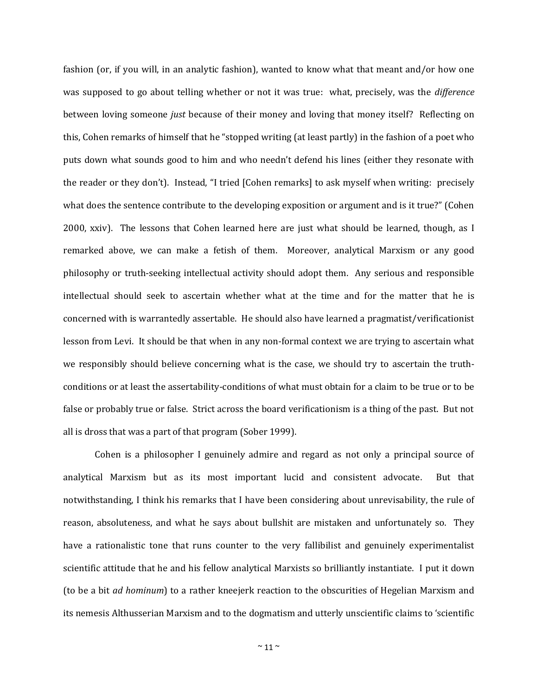fashion (or, if you will, in an analytic fashion), wanted to know what that meant and/or how one was supposed to go about telling whether or not it was true: what, precisely, was the *difference*  between loving someone *just* because of their money and loving that money itself? Reflecting on this, Cohen remarks of himself that he "stopped writing (at least partly) in the fashion of a poet who puts down what sounds good to him and who needn't defend his lines (either they resonate with the reader or they don't). Instead, "I tried [Cohen remarks] to ask myself when writing: precisely what does the sentence contribute to the developing exposition or argument and is it true?" (Cohen 2000, xxiv). The lessons that Cohen learned here are just what should be learned, though, as I remarked above, we can make a fetish of them. Moreover, analytical Marxism or any good philosophy or truth-seeking intellectual activity should adopt them. Any serious and responsible intellectual should seek to ascertain whether what at the time and for the matter that he is concerned with is warrantedly assertable. He should also have learned a pragmatist/verificationist lesson from Levi. It should be that when in any non-formal context we are trying to ascertain what we responsibly should believe concerning what is the case, we should try to ascertain the truthconditions or at least the assertability-conditions of what must obtain for a claim to be true or to be false or probably true or false. Strict across the board verificationism is a thing of the past. But not all is dross that was a part of that program (Sober 1999).

Cohen is a philosopher I genuinely admire and regard as not only a principal source of analytical Marxism but as its most important lucid and consistent advocate. But that notwithstanding, I think his remarks that I have been considering about unrevisability, the rule of reason, absoluteness, and what he says about bullshit are mistaken and unfortunately so. They have a rationalistic tone that runs counter to the very fallibilist and genuinely experimentalist scientific attitude that he and his fellow analytical Marxists so brilliantly instantiate. I put it down (to be a bit *ad hominum*) to a rather kneejerk reaction to the obscurities of Hegelian Marxism and its nemesis Althusserian Marxism and to the dogmatism and utterly unscientific claims to 'scientific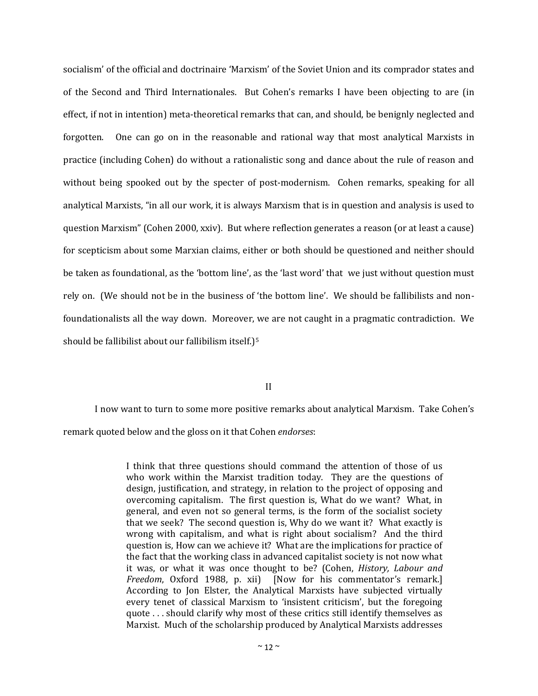socialism' of the official and doctrinaire 'Marxism' of the Soviet Union and its comprador states and of the Second and Third Internationales. But Cohen's remarks I have been objecting to are (in effect, if not in intention) meta-theoretical remarks that can, and should, be benignly neglected and forgotten. One can go on in the reasonable and rational way that most analytical Marxists in practice (including Cohen) do without a rationalistic song and dance about the rule of reason and without being spooked out by the specter of post-modernism. Cohen remarks, speaking for all analytical Marxists, "in all our work, it is always Marxism that is in question and analysis is used to question Marxism" (Cohen 2000, xxiv). But where reflection generates a reason (or at least a cause) for scepticism about some Marxian claims, either or both should be questioned and neither should be taken as foundational, as the 'bottom line', as the 'last word' that we just without question must rely on. (We should not be in the business of 'the bottom line'. We should be fallibilists and nonfoundationalists all the way down. Moreover, we are not caught in a pragmatic contradiction. We should be fallibilist about our fallibilism itself.)<sup>5</sup>

II

I now want to turn to some more positive remarks about analytical Marxism. Take Cohen's remark quoted below and the gloss on it that Cohen *endorses*:

> I think that three questions should command the attention of those of us who work within the Marxist tradition today. They are the questions of design, justification, and strategy, in relation to the project of opposing and overcoming capitalism. The first question is, What do we want? What, in general, and even not so general terms, is the form of the socialist society that we seek? The second question is, Why do we want it? What exactly is wrong with capitalism, and what is right about socialism? And the third question is, How can we achieve it? What are the implications for practice of the fact that the working class in advanced capitalist society is not now what it was, or what it was once thought to be? (Cohen, *History, Labour and Freedom*, Oxford 1988, p. xii) [Now for his commentator's remark.] According to Jon Elster, the Analytical Marxists have subjected virtually every tenet of classical Marxism to 'insistent criticism', but the foregoing quote . . . should clarify why most of these critics still identify themselves as Marxist. Much of the scholarship produced by Analytical Marxists addresses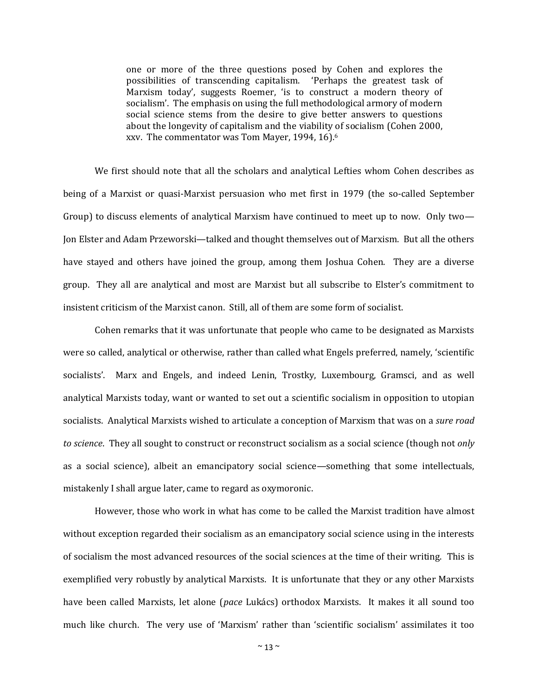one or more of the three questions posed by Cohen and explores the possibilities of transcending capitalism. 'Perhaps the greatest task of Marxism today', suggests Roemer, 'is to construct a modern theory of socialism'. The emphasis on using the full methodological armory of modern social science stems from the desire to give better answers to questions about the longevity of capitalism and the viability of socialism (Cohen 2000, xxv. The commentator was Tom Mayer, 1994, 16).<sup>6</sup>

We first should note that all the scholars and analytical Lefties whom Cohen describes as being of a Marxist or quasi-Marxist persuasion who met first in 1979 (the so-called September Group) to discuss elements of analytical Marxism have continued to meet up to now. Only two— Jon Elster and Adam Przeworski—talked and thought themselves out of Marxism. But all the others have stayed and others have joined the group, among them Joshua Cohen. They are a diverse group. They all are analytical and most are Marxist but all subscribe to Elster's commitment to insistent criticism of the Marxist canon. Still, all of them are some form of socialist.

Cohen remarks that it was unfortunate that people who came to be designated as Marxists were so called, analytical or otherwise, rather than called what Engels preferred, namely, 'scientific socialists'. Marx and Engels, and indeed Lenin, Trostky, Luxembourg, Gramsci, and as well analytical Marxists today, want or wanted to set out a scientific socialism in opposition to utopian socialists. Analytical Marxists wished to articulate a conception of Marxism that was on a *sure road to science*. They all sought to construct or reconstruct socialism as a social science (though not *only* as a social science), albeit an emancipatory social science—something that some intellectuals, mistakenly I shall argue later, came to regard as oxymoronic.

However, those who work in what has come to be called the Marxist tradition have almost without exception regarded their socialism as an emancipatory social science using in the interests of socialism the most advanced resources of the social sciences at the time of their writing. This is exemplified very robustly by analytical Marxists. It is unfortunate that they or any other Marxists have been called Marxists, let alone (*pace* Lukács) orthodox Marxists. It makes it all sound too much like church. The very use of 'Marxism' rather than 'scientific socialism' assimilates it too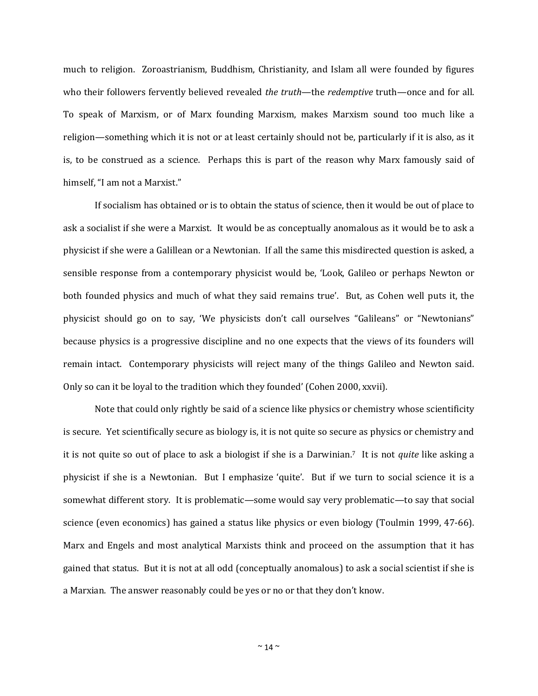much to religion. Zoroastrianism, Buddhism, Christianity, and Islam all were founded by figures who their followers fervently believed revealed *the truth—the redemptive* truth—once and for all. To speak of Marxism, or of Marx founding Marxism, makes Marxism sound too much like a religion—something which it is not or at least certainly should not be, particularly if it is also, as it is, to be construed as a science. Perhaps this is part of the reason why Marx famously said of himself, "I am not a Marxist."

If socialism has obtained or is to obtain the status of science, then it would be out of place to ask a socialist if she were a Marxist. It would be as conceptually anomalous as it would be to ask a physicist if she were a Galillean or a Newtonian. If all the same this misdirected question is asked, a sensible response from a contemporary physicist would be, 'Look, Galileo or perhaps Newton or both founded physics and much of what they said remains true'. But, as Cohen well puts it, the physicist should go on to say, 'We physicists don't call ourselves "Galileans" or "Newtonians" because physics is a progressive discipline and no one expects that the views of its founders will remain intact. Contemporary physicists will reject many of the things Galileo and Newton said. Only so can it be loyal to the tradition which they founded' (Cohen 2000, xxvii).

Note that could only rightly be said of a science like physics or chemistry whose scientificity is secure. Yet scientifically secure as biology is, it is not quite so secure as physics or chemistry and it is not quite so out of place to ask a biologist if she is a Darwinian.7 It is not *quite* like asking a physicist if she is a Newtonian. But I emphasize 'quite'. But if we turn to social science it is a somewhat different story. It is problematic—some would say very problematic—to say that social science (even economics) has gained a status like physics or even biology (Toulmin 1999, 47-66). Marx and Engels and most analytical Marxists think and proceed on the assumption that it has gained that status. But it is not at all odd (conceptually anomalous) to ask a social scientist if she is a Marxian. The answer reasonably could be yes or no or that they don't know.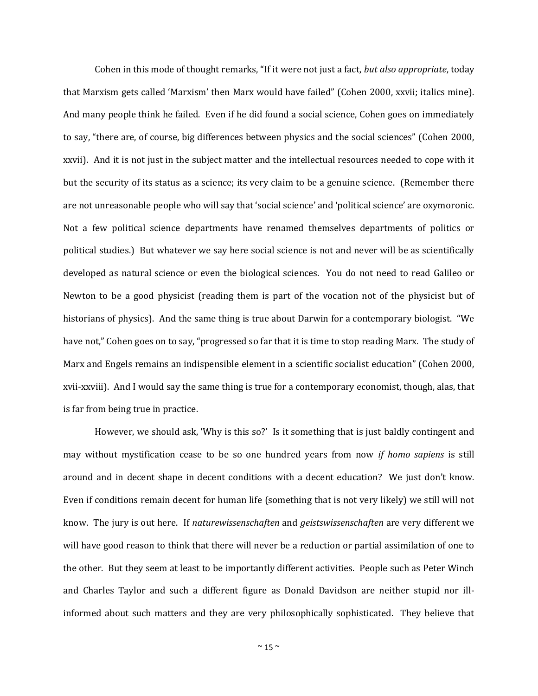Cohen in this mode of thought remarks, "If it were not just a fact, *but also appropriate*, today that Marxism gets called 'Marxism' then Marx would have failed" (Cohen 2000, xxvii; italics mine). And many people think he failed. Even if he did found a social science, Cohen goes on immediately to say, "there are, of course, big differences between physics and the social sciences" (Cohen 2000, xxvii). And it is not just in the subject matter and the intellectual resources needed to cope with it but the security of its status as a science; its very claim to be a genuine science. (Remember there are not unreasonable people who will say that 'social science' and 'political science' are oxymoronic. Not a few political science departments have renamed themselves departments of politics or political studies.) But whatever we say here social science is not and never will be as scientifically developed as natural science or even the biological sciences. You do not need to read Galileo or Newton to be a good physicist (reading them is part of the vocation not of the physicist but of historians of physics). And the same thing is true about Darwin for a contemporary biologist. "We have not," Cohen goes on to say, "progressed so far that it is time to stop reading Marx. The study of Marx and Engels remains an indispensible element in a scientific socialist education" (Cohen 2000, xvii-xxviii). And I would say the same thing is true for a contemporary economist, though, alas, that is far from being true in practice.

However, we should ask, 'Why is this so?' Is it something that is just baldly contingent and may without mystification cease to be so one hundred years from now *if homo sapiens* is still around and in decent shape in decent conditions with a decent education? We just don't know. Even if conditions remain decent for human life (something that is not very likely) we still will not know. The jury is out here. If *naturewissenschaften* and *geistswissenschaften* are very different we will have good reason to think that there will never be a reduction or partial assimilation of one to the other. But they seem at least to be importantly different activities. People such as Peter Winch and Charles Taylor and such a different figure as Donald Davidson are neither stupid nor illinformed about such matters and they are very philosophically sophisticated. They believe that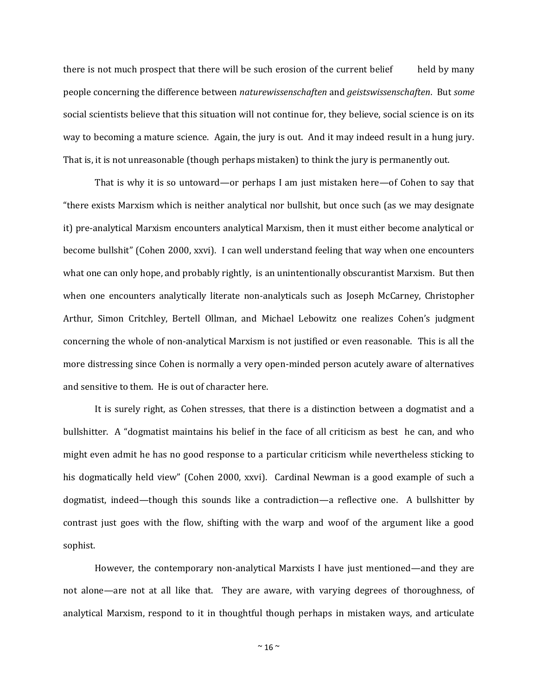there is not much prospect that there will be such erosion of the current belief held by many people concerning the difference between *naturewissenschaften* and *geistswissenschaften*. But *some* social scientists believe that this situation will not continue for, they believe, social science is on its way to becoming a mature science. Again, the jury is out. And it may indeed result in a hung jury. That is, it is not unreasonable (though perhaps mistaken) to think the jury is permanently out.

That is why it is so untoward—or perhaps I am just mistaken here—of Cohen to say that "there exists Marxism which is neither analytical nor bullshit, but once such (as we may designate it) pre-analytical Marxism encounters analytical Marxism, then it must either become analytical or become bullshit" (Cohen 2000, xxvi). I can well understand feeling that way when one encounters what one can only hope, and probably rightly, is an unintentionally obscurantist Marxism. But then when one encounters analytically literate non-analyticals such as Joseph McCarney, Christopher Arthur, Simon Critchley, Bertell Ollman, and Michael Lebowitz one realizes Cohen's judgment concerning the whole of non-analytical Marxism is not justified or even reasonable. This is all the more distressing since Cohen is normally a very open-minded person acutely aware of alternatives and sensitive to them. He is out of character here.

It is surely right, as Cohen stresses, that there is a distinction between a dogmatist and a bullshitter. A "dogmatist maintains his belief in the face of all criticism as best he can, and who might even admit he has no good response to a particular criticism while nevertheless sticking to his dogmatically held view" (Cohen 2000, xxvi). Cardinal Newman is a good example of such a dogmatist, indeed—though this sounds like a contradiction—a reflective one. A bullshitter by contrast just goes with the flow, shifting with the warp and woof of the argument like a good sophist.

However, the contemporary non-analytical Marxists I have just mentioned—and they are not alone—are not at all like that. They are aware, with varying degrees of thoroughness, of analytical Marxism, respond to it in thoughtful though perhaps in mistaken ways, and articulate

 $~^{\sim}$  16  $~^{\sim}$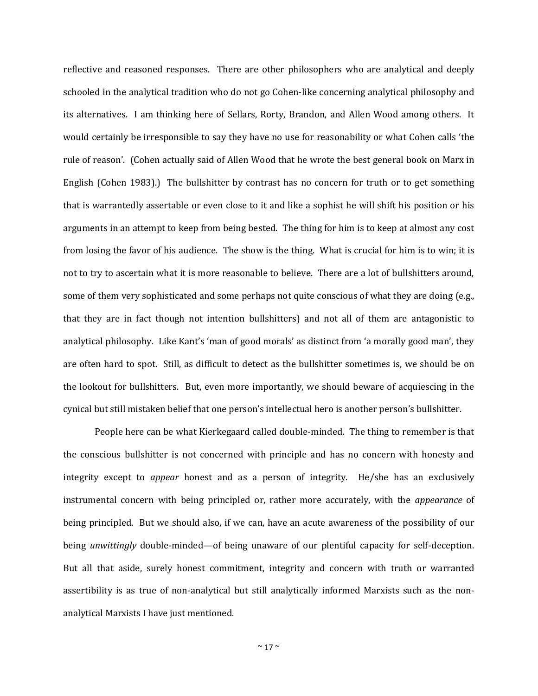reflective and reasoned responses. There are other philosophers who are analytical and deeply schooled in the analytical tradition who do not go Cohen-like concerning analytical philosophy and its alternatives. I am thinking here of Sellars, Rorty, Brandon, and Allen Wood among others. It would certainly be irresponsible to say they have no use for reasonability or what Cohen calls 'the rule of reason'. (Cohen actually said of Allen Wood that he wrote the best general book on Marx in English (Cohen 1983).) The bullshitter by contrast has no concern for truth or to get something that is warrantedly assertable or even close to it and like a sophist he will shift his position or his arguments in an attempt to keep from being bested. The thing for him is to keep at almost any cost from losing the favor of his audience. The show is the thing. What is crucial for him is to win; it is not to try to ascertain what it is more reasonable to believe. There are a lot of bullshitters around, some of them very sophisticated and some perhaps not quite conscious of what they are doing (e.g., that they are in fact though not intention bullshitters) and not all of them are antagonistic to analytical philosophy. Like Kant's 'man of good morals' as distinct from 'a morally good man', they are often hard to spot. Still, as difficult to detect as the bullshitter sometimes is, we should be on the lookout for bullshitters. But, even more importantly, we should beware of acquiescing in the cynical but still mistaken belief that one person's intellectual hero is another person's bullshitter.

People here can be what Kierkegaard called double-minded. The thing to remember is that the conscious bullshitter is not concerned with principle and has no concern with honesty and integrity except to *appear* honest and as a person of integrity. He/she has an exclusively instrumental concern with being principled or, rather more accurately, with the *appearance* of being principled. But we should also, if we can, have an acute awareness of the possibility of our being *unwittingly* double-minded—of being unaware of our plentiful capacity for self-deception. But all that aside, surely honest commitment, integrity and concern with truth or warranted assertibility is as true of non-analytical but still analytically informed Marxists such as the nonanalytical Marxists I have just mentioned.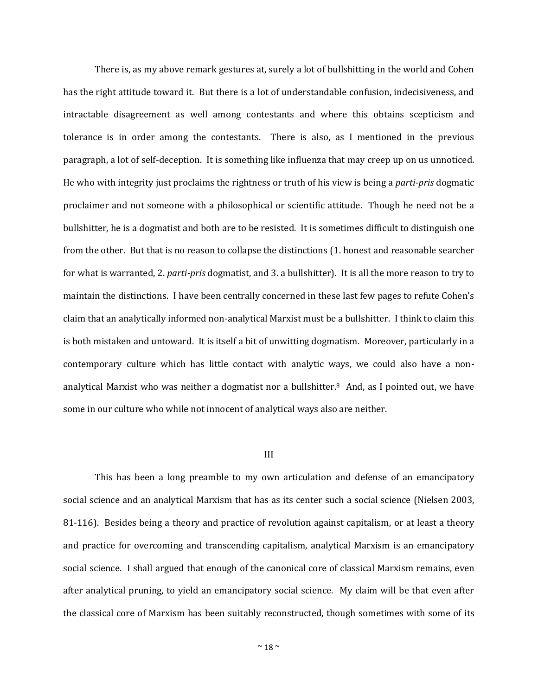There is, as my above remark gestures at, surely a lot of bullshitting in the world and Cohen has the right attitude toward it. But there is a lot of understandable confusion, indecisiveness, and intractable disagreement as well among contestants and where this obtains scepticism and tolerance is in order among the contestants. There is also, as I mentioned in the previous paragraph, a lot of self-deception. It is something like influenza that may creep up on us unnoticed. He who with integrity just proclaims the rightness or truth of his view is being a *parti-pris* dogmatic proclaimer and not someone with a philosophical or scientific attitude. Though he need not be a bullshitter, he is a dogmatist and both are to be resisted. It is sometimes difficult to distinguish one from the other. But that is no reason to collapse the distinctions (1. honest and reasonable searcher for what is warranted, 2. *parti-pris* dogmatist, and 3. a bullshitter). It is all the more reason to try to maintain the distinctions. I have been centrally concerned in these last few pages to refute Cohen's claim that an analytically informed non-analytical Marxist must be a bullshitter. I think to claim this is both mistaken and untoward. It is itself a bit of unwitting dogmatism. Moreover, particularly in a contemporary culture which has little contact with analytic ways, we could also have a nonanalytical Marxist who was neither a dogmatist nor a bullshitter.8 And, as I pointed out, we have some in our culture who while not innocent of analytical ways also are neither.

### III

This has been a long preamble to my own articulation and defense of an emancipatory social science and an analytical Marxism that has as its center such a social science (Nielsen 2003, 81-116). Besides being a theory and practice of revolution against capitalism, or at least a theory and practice for overcoming and transcending capitalism, analytical Marxism is an emancipatory social science. I shall argued that enough of the canonical core of classical Marxism remains, even after analytical pruning, to yield an emancipatory social science. My claim will be that even after the classical core of Marxism has been suitably reconstructed, though sometimes with some of its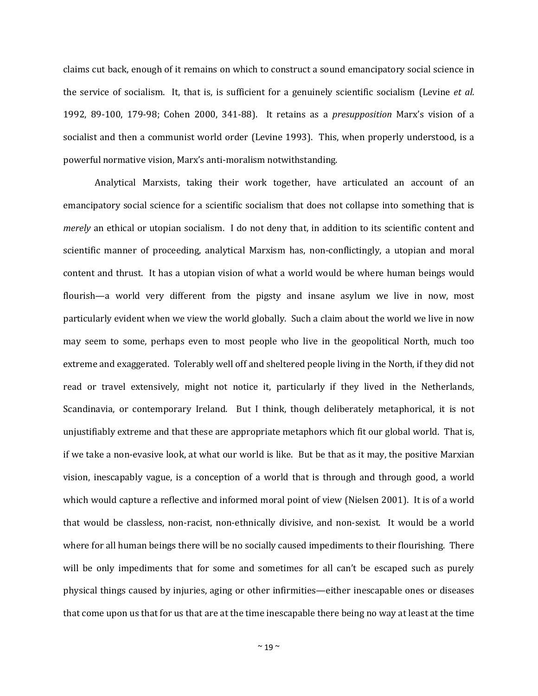claims cut back, enough of it remains on which to construct a sound emancipatory social science in the service of socialism. It, that is, is sufficient for a genuinely scientific socialism (Levine *et al.* 1992, 89-100, 179-98; Cohen 2000, 341-88). It retains as a *presupposition* Marx's vision of a socialist and then a communist world order (Levine 1993). This, when properly understood, is a powerful normative vision, Marx's anti-moralism notwithstanding.

Analytical Marxists, taking their work together, have articulated an account of an emancipatory social science for a scientific socialism that does not collapse into something that is *merely* an ethical or utopian socialism. I do not deny that, in addition to its scientific content and scientific manner of proceeding, analytical Marxism has, non-conflictingly, a utopian and moral content and thrust. It has a utopian vision of what a world would be where human beings would flourish—a world very different from the pigsty and insane asylum we live in now, most particularly evident when we view the world globally. Such a claim about the world we live in now may seem to some, perhaps even to most people who live in the geopolitical North, much too extreme and exaggerated. Tolerably well off and sheltered people living in the North, if they did not read or travel extensively, might not notice it, particularly if they lived in the Netherlands, Scandinavia, or contemporary Ireland. But I think, though deliberately metaphorical, it is not unjustifiably extreme and that these are appropriate metaphors which fit our global world. That is, if we take a non-evasive look, at what our world is like. But be that as it may, the positive Marxian vision, inescapably vague, is a conception of a world that is through and through good, a world which would capture a reflective and informed moral point of view (Nielsen 2001). It is of a world that would be classless, non-racist, non-ethnically divisive, and non-sexist. It would be a world where for all human beings there will be no socially caused impediments to their flourishing. There will be only impediments that for some and sometimes for all can't be escaped such as purely physical things caused by injuries, aging or other infirmities—either inescapable ones or diseases that come upon us that for us that are at the time inescapable there being no way at least at the time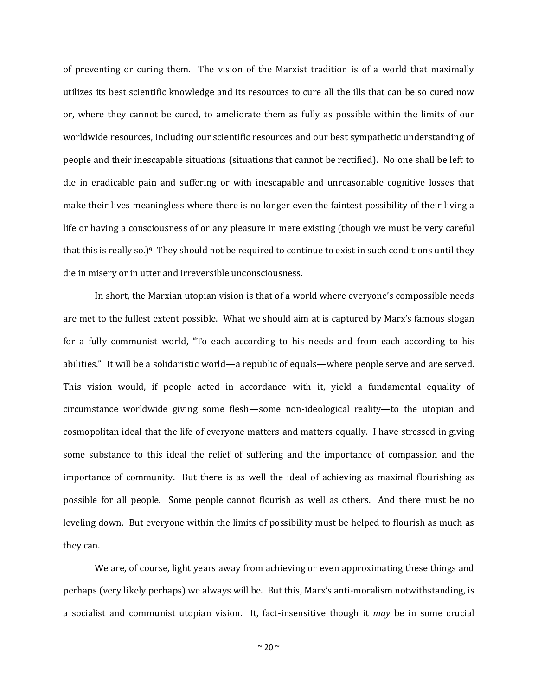of preventing or curing them. The vision of the Marxist tradition is of a world that maximally utilizes its best scientific knowledge and its resources to cure all the ills that can be so cured now or, where they cannot be cured, to ameliorate them as fully as possible within the limits of our worldwide resources, including our scientific resources and our best sympathetic understanding of people and their inescapable situations (situations that cannot be rectified). No one shall be left to die in eradicable pain and suffering or with inescapable and unreasonable cognitive losses that make their lives meaningless where there is no longer even the faintest possibility of their living a life or having a consciousness of or any pleasure in mere existing (though we must be very careful that this is really so.)<sup>9</sup> They should not be required to continue to exist in such conditions until they die in misery or in utter and irreversible unconsciousness.

In short, the Marxian utopian vision is that of a world where everyone's compossible needs are met to the fullest extent possible. What we should aim at is captured by Marx's famous slogan for a fully communist world, "To each according to his needs and from each according to his abilities." It will be a solidaristic world—a republic of equals—where people serve and are served. This vision would, if people acted in accordance with it, yield a fundamental equality of circumstance worldwide giving some flesh—some non-ideological reality—to the utopian and cosmopolitan ideal that the life of everyone matters and matters equally. I have stressed in giving some substance to this ideal the relief of suffering and the importance of compassion and the importance of community. But there is as well the ideal of achieving as maximal flourishing as possible for all people. Some people cannot flourish as well as others. And there must be no leveling down. But everyone within the limits of possibility must be helped to flourish as much as they can.

We are, of course, light years away from achieving or even approximating these things and perhaps (very likely perhaps) we always will be. But this, Marx's anti-moralism notwithstanding, is a socialist and communist utopian vision. It, fact-insensitive though it *may* be in some crucial

 $\sim$  20  $\sim$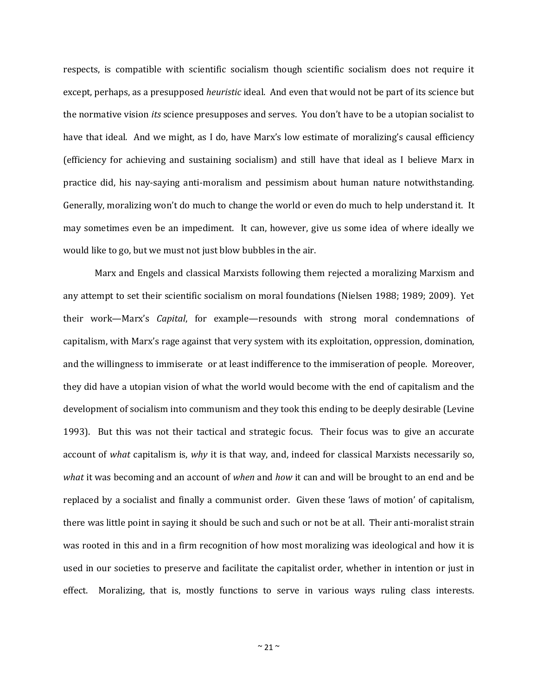respects, is compatible with scientific socialism though scientific socialism does not require it except, perhaps, as a presupposed *heuristic* ideal. And even that would not be part of its science but the normative vision *its* science presupposes and serves. You don't have to be a utopian socialist to have that ideal. And we might, as I do, have Marx's low estimate of moralizing's causal efficiency (efficiency for achieving and sustaining socialism) and still have that ideal as I believe Marx in practice did, his nay-saying anti-moralism and pessimism about human nature notwithstanding. Generally, moralizing won't do much to change the world or even do much to help understand it. It may sometimes even be an impediment. It can, however, give us some idea of where ideally we would like to go, but we must not just blow bubbles in the air.

Marx and Engels and classical Marxists following them rejected a moralizing Marxism and any attempt to set their scientific socialism on moral foundations (Nielsen 1988; 1989; 2009). Yet their work—Marx's *Capital*, for example—resounds with strong moral condemnations of capitalism, with Marx's rage against that very system with its exploitation, oppression, domination, and the willingness to immiserate or at least indifference to the immiseration of people. Moreover, they did have a utopian vision of what the world would become with the end of capitalism and the development of socialism into communism and they took this ending to be deeply desirable (Levine 1993). But this was not their tactical and strategic focus. Their focus was to give an accurate account of *what* capitalism is, *why* it is that way, and, indeed for classical Marxists necessarily so, *what* it was becoming and an account of *when* and *how* it can and will be brought to an end and be replaced by a socialist and finally a communist order. Given these 'laws of motion' of capitalism, there was little point in saying it should be such and such or not be at all. Their anti-moralist strain was rooted in this and in a firm recognition of how most moralizing was ideological and how it is used in our societies to preserve and facilitate the capitalist order, whether in intention or just in effect. Moralizing, that is, mostly functions to serve in various ways ruling class interests.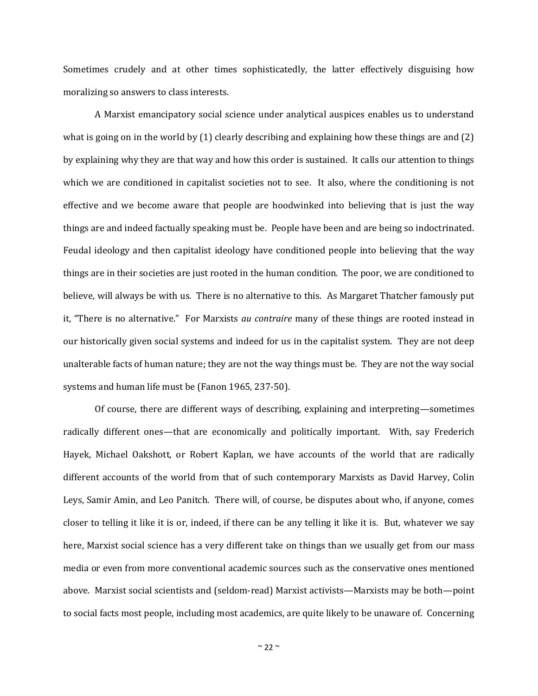Sometimes crudely and at other times sophisticatedly, the latter effectively disguising how moralizing so answers to class interests.

A Marxist emancipatory social science under analytical auspices enables us to understand what is going on in the world by (1) clearly describing and explaining how these things are and (2) by explaining why they are that way and how this order is sustained. It calls our attention to things which we are conditioned in capitalist societies not to see. It also, where the conditioning is not effective and we become aware that people are hoodwinked into believing that is just the way things are and indeed factually speaking must be. People have been and are being so indoctrinated. Feudal ideology and then capitalist ideology have conditioned people into believing that the way things are in their societies are just rooted in the human condition. The poor, we are conditioned to believe, will always be with us. There is no alternative to this. As Margaret Thatcher famously put it, "There is no alternative." For Marxists *au contraire* many of these things are rooted instead in our historically given social systems and indeed for us in the capitalist system. They are not deep unalterable facts of human nature; they are not the way things must be. They are not the way social systems and human life must be (Fanon 1965, 237-50).

Of course, there are different ways of describing, explaining and interpreting—sometimes radically different ones—that are economically and politically important. With, say Frederich Hayek, Michael Oakshott, or Robert Kaplan, we have accounts of the world that are radically different accounts of the world from that of such contemporary Marxists as David Harvey, Colin Leys, Samir Amin, and Leo Panitch. There will, of course, be disputes about who, if anyone, comes closer to telling it like it is or, indeed, if there can be any telling it like it is. But, whatever we say here, Marxist social science has a very different take on things than we usually get from our mass media or even from more conventional academic sources such as the conservative ones mentioned above. Marxist social scientists and (seldom-read) Marxist activists—Marxists may be both—point to social facts most people, including most academics, are quite likely to be unaware of. Concerning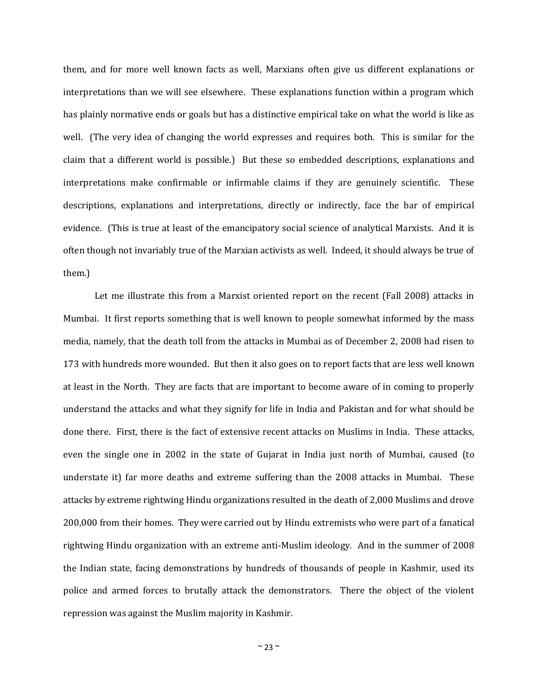them, and for more well known facts as well, Marxians often give us different explanations or interpretations than we will see elsewhere. These explanations function within a program which has plainly normative ends or goals but has a distinctive empirical take on what the world is like as well. (The very idea of changing the world expresses and requires both. This is similar for the claim that a different world is possible.) But these so embedded descriptions, explanations and interpretations make confirmable or infirmable claims if they are genuinely scientific. These descriptions, explanations and interpretations, directly or indirectly, face the bar of empirical evidence. (This is true at least of the emancipatory social science of analytical Marxists. And it is often though not invariably true of the Marxian activists as well. Indeed, it should always be true of them.)

Let me illustrate this from a Marxist oriented report on the recent (Fall 2008) attacks in Mumbai. It first reports something that is well known to people somewhat informed by the mass media, namely, that the death toll from the attacks in Mumbai as of December 2, 2008 had risen to 173 with hundreds more wounded. But then it also goes on to report facts that are less well known at least in the North. They are facts that are important to become aware of in coming to properly understand the attacks and what they signify for life in India and Pakistan and for what should be done there. First, there is the fact of extensive recent attacks on Muslims in India. These attacks, even the single one in 2002 in the state of Gujarat in India just north of Mumbai, caused (to understate it) far more deaths and extreme suffering than the 2008 attacks in Mumbai. These attacks by extreme rightwing Hindu organizations resulted in the death of 2,000 Muslims and drove 200,000 from their homes. They were carried out by Hindu extremists who were part of a fanatical rightwing Hindu organization with an extreme anti-Muslim ideology. And in the summer of 2008 the Indian state, facing demonstrations by hundreds of thousands of people in Kashmir, used its police and armed forces to brutally attack the demonstrators. There the object of the violent repression was against the Muslim majority in Kashmir.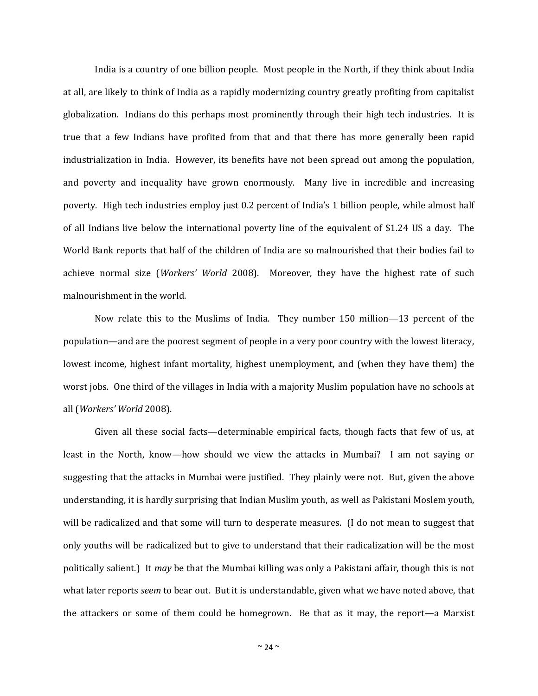India is a country of one billion people. Most people in the North, if they think about India at all, are likely to think of India as a rapidly modernizing country greatly profiting from capitalist globalization. Indians do this perhaps most prominently through their high tech industries. It is true that a few Indians have profited from that and that there has more generally been rapid industrialization in India. However, its benefits have not been spread out among the population, and poverty and inequality have grown enormously. Many live in incredible and increasing poverty. High tech industries employ just 0.2 percent of India's 1 billion people, while almost half of all Indians live below the international poverty line of the equivalent of \$1.24 US a day. The World Bank reports that half of the children of India are so malnourished that their bodies fail to achieve normal size (*Workers' World* 2008). Moreover, they have the highest rate of such malnourishment in the world.

Now relate this to the Muslims of India. They number 150 million—13 percent of the population—and are the poorest segment of people in a very poor country with the lowest literacy, lowest income, highest infant mortality, highest unemployment, and (when they have them) the worst jobs. One third of the villages in India with a majority Muslim population have no schools at all (*Workers' World* 2008).

Given all these social facts—determinable empirical facts, though facts that few of us, at least in the North, know—how should we view the attacks in Mumbai? I am not saying or suggesting that the attacks in Mumbai were justified. They plainly were not. But, given the above understanding, it is hardly surprising that Indian Muslim youth, as well as Pakistani Moslem youth, will be radicalized and that some will turn to desperate measures. (I do not mean to suggest that only youths will be radicalized but to give to understand that their radicalization will be the most politically salient.) It *may* be that the Mumbai killing was only a Pakistani affair, though this is not what later reports *seem* to bear out. But it is understandable, given what we have noted above, that the attackers or some of them could be homegrown. Be that as it may, the report—a Marxist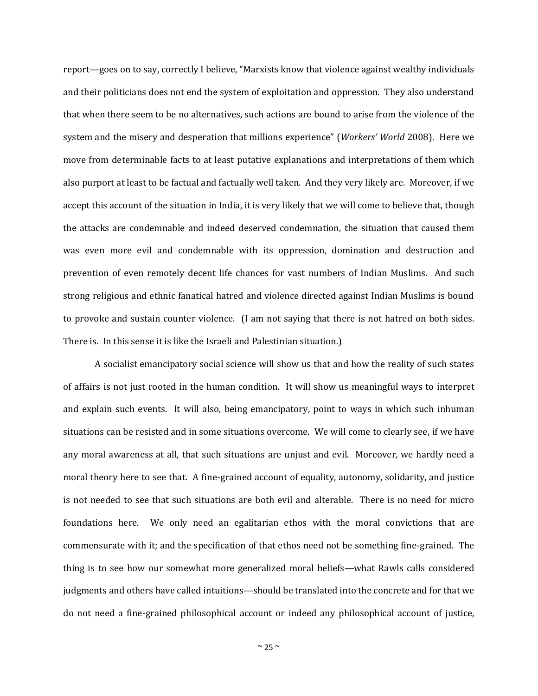report—goes on to say, correctly I believe, "Marxists know that violence against wealthy individuals and their politicians does not end the system of exploitation and oppression. They also understand that when there seem to be no alternatives, such actions are bound to arise from the violence of the system and the misery and desperation that millions experience" (*Workers' World* 2008). Here we move from determinable facts to at least putative explanations and interpretations of them which also purport at least to be factual and factually well taken. And they very likely are. Moreover, if we accept this account of the situation in India, it is very likely that we will come to believe that, though the attacks are condemnable and indeed deserved condemnation, the situation that caused them was even more evil and condemnable with its oppression, domination and destruction and prevention of even remotely decent life chances for vast numbers of Indian Muslims. And such strong religious and ethnic fanatical hatred and violence directed against Indian Muslims is bound to provoke and sustain counter violence. (I am not saying that there is not hatred on both sides. There is. In this sense it is like the Israeli and Palestinian situation.)

A socialist emancipatory social science will show us that and how the reality of such states of affairs is not just rooted in the human condition. It will show us meaningful ways to interpret and explain such events. It will also, being emancipatory, point to ways in which such inhuman situations can be resisted and in some situations overcome. We will come to clearly see, if we have any moral awareness at all, that such situations are unjust and evil. Moreover, we hardly need a moral theory here to see that. A fine-grained account of equality, autonomy, solidarity, and justice is not needed to see that such situations are both evil and alterable. There is no need for micro foundations here. We only need an egalitarian ethos with the moral convictions that are commensurate with it; and the specification of that ethos need not be something fine-grained. The thing is to see how our somewhat more generalized moral beliefs—what Rawls calls considered judgments and others have called intuitions—should be translated into the concrete and for that we do not need a fine-grained philosophical account or indeed any philosophical account of justice,

 $\sim$  25  $\sim$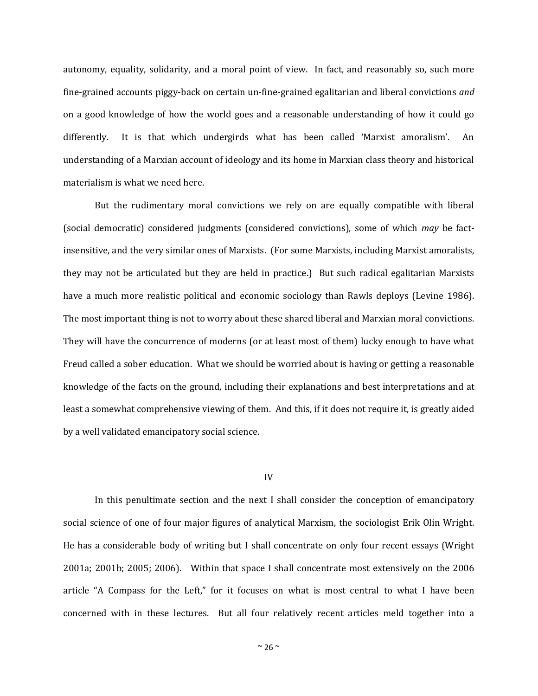autonomy, equality, solidarity, and a moral point of view. In fact, and reasonably so, such more fine-grained accounts piggy-back on certain un-fine-grained egalitarian and liberal convictions *and* on a good knowledge of how the world goes and a reasonable understanding of how it could go differently. It is that which undergirds what has been called 'Marxist amoralism'. An understanding of a Marxian account of ideology and its home in Marxian class theory and historical materialism is what we need here.

But the rudimentary moral convictions we rely on are equally compatible with liberal (social democratic) considered judgments (considered convictions), some of which *may* be factinsensitive, and the very similar ones of Marxists. (For some Marxists, including Marxist amoralists, they may not be articulated but they are held in practice.) But such radical egalitarian Marxists have a much more realistic political and economic sociology than Rawls deploys (Levine 1986). The most important thing is not to worry about these shared liberal and Marxian moral convictions. They will have the concurrence of moderns (or at least most of them) lucky enough to have what Freud called a sober education. What we should be worried about is having or getting a reasonable knowledge of the facts on the ground, including their explanations and best interpretations and at least a somewhat comprehensive viewing of them. And this, if it does not require it, is greatly aided by a well validated emancipatory social science.

#### IV

In this penultimate section and the next I shall consider the conception of emancipatory social science of one of four major figures of analytical Marxism, the sociologist Erik Olin Wright. He has a considerable body of writing but I shall concentrate on only four recent essays (Wright 2001a; 2001b; 2005; 2006). Within that space I shall concentrate most extensively on the 2006 article "A Compass for the Left," for it focuses on what is most central to what I have been concerned with in these lectures. But all four relatively recent articles meld together into a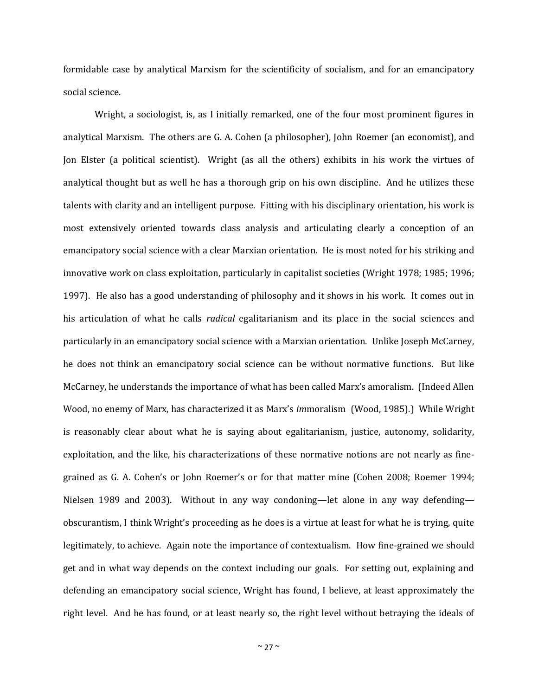formidable case by analytical Marxism for the scientificity of socialism, and for an emancipatory social science.

Wright, a sociologist, is, as I initially remarked, one of the four most prominent figures in analytical Marxism. The others are G. A. Cohen (a philosopher), John Roemer (an economist), and Jon Elster (a political scientist). Wright (as all the others) exhibits in his work the virtues of analytical thought but as well he has a thorough grip on his own discipline. And he utilizes these talents with clarity and an intelligent purpose. Fitting with his disciplinary orientation, his work is most extensively oriented towards class analysis and articulating clearly a conception of an emancipatory social science with a clear Marxian orientation. He is most noted for his striking and innovative work on class exploitation, particularly in capitalist societies (Wright 1978; 1985; 1996; 1997). He also has a good understanding of philosophy and it shows in his work. It comes out in his articulation of what he calls *radical* egalitarianism and its place in the social sciences and particularly in an emancipatory social science with a Marxian orientation. Unlike Joseph McCarney, he does not think an emancipatory social science can be without normative functions. But like McCarney, he understands the importance of what has been called Marx's amoralism. (Indeed Allen Wood, no enemy of Marx, has characterized it as Marx's *im*moralism (Wood, 1985).) While Wright is reasonably clear about what he is saying about egalitarianism, justice, autonomy, solidarity, exploitation, and the like, his characterizations of these normative notions are not nearly as finegrained as G. A. Cohen's or John Roemer's or for that matter mine (Cohen 2008; Roemer 1994; Nielsen 1989 and 2003). Without in any way condoning—let alone in any way defending obscurantism, I think Wright's proceeding as he does is a virtue at least for what he is trying, quite legitimately, to achieve. Again note the importance of contextualism. How fine-grained we should get and in what way depends on the context including our goals. For setting out, explaining and defending an emancipatory social science, Wright has found, I believe, at least approximately the right level. And he has found, or at least nearly so, the right level without betraying the ideals of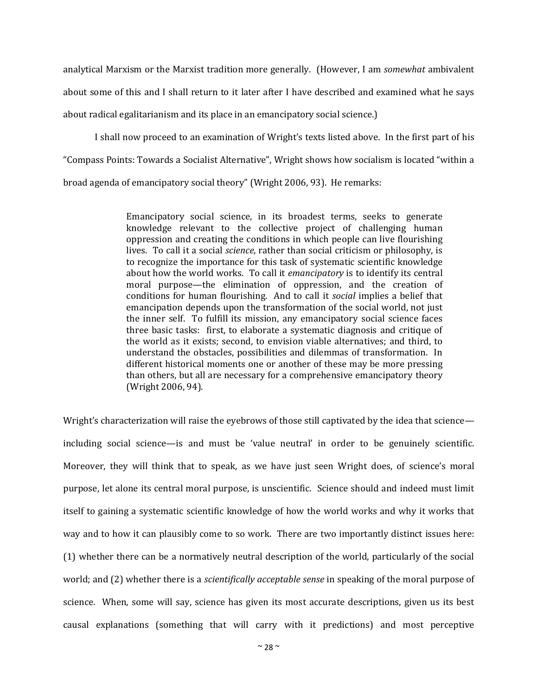analytical Marxism or the Marxist tradition more generally. (However, I am *somewhat* ambivalent about some of this and I shall return to it later after I have described and examined what he says about radical egalitarianism and its place in an emancipatory social science.)

I shall now proceed to an examination of Wright's texts listed above. In the first part of his "Compass Points: Towards a Socialist Alternative", Wright shows how socialism is located "within a broad agenda of emancipatory social theory" (Wright 2006, 93). He remarks:

> Emancipatory social science, in its broadest terms, seeks to generate knowledge relevant to the collective project of challenging human oppression and creating the conditions in which people can live flourishing lives. To call it a social *science*, rather than social criticism or philosophy, is to recognize the importance for this task of systematic scientific knowledge about how the world works. To call it *emancipatory* is to identify its central moral purpose—the elimination of oppression, and the creation of conditions for human flourishing. And to call it *social* implies a belief that emancipation depends upon the transformation of the social world, not just the inner self. To fulfill its mission, any emancipatory social science faces three basic tasks: first, to elaborate a systematic diagnosis and critique of the world as it exists; second, to envision viable alternatives; and third, to understand the obstacles, possibilities and dilemmas of transformation. In different historical moments one or another of these may be more pressing than others, but all are necessary for a comprehensive emancipatory theory (Wright 2006, 94).

Wright's characterization will raise the eyebrows of those still captivated by the idea that science including social science—is and must be 'value neutral' in order to be genuinely scientific. Moreover, they will think that to speak, as we have just seen Wright does, of science's moral purpose, let alone its central moral purpose, is unscientific. Science should and indeed must limit itself to gaining a systematic scientific knowledge of how the world works and why it works that way and to how it can plausibly come to so work. There are two importantly distinct issues here: (1) whether there can be a normatively neutral description of the world, particularly of the social world; and (2) whether there is a *scientifically acceptable sense* in speaking of the moral purpose of science. When, some will say, science has given its most accurate descriptions, given us its best causal explanations (something that will carry with it predictions) and most perceptive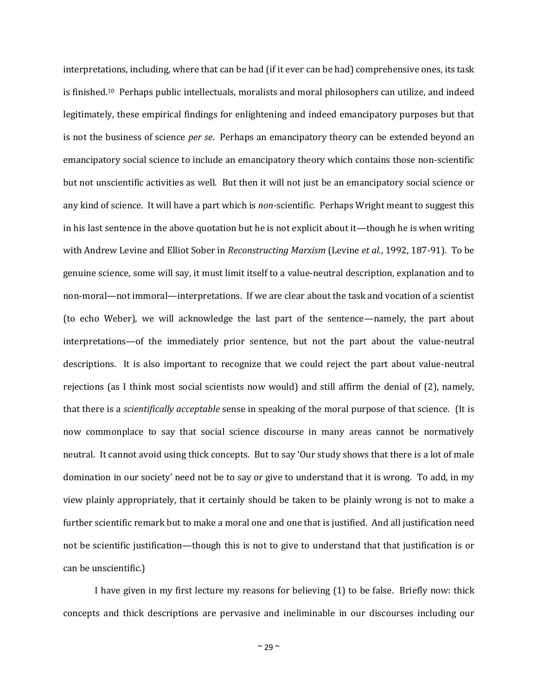interpretations, including, where that can be had (if it ever can be had) comprehensive ones, its task is finished.10 Perhaps public intellectuals, moralists and moral philosophers can utilize, and indeed legitimately, these empirical findings for enlightening and indeed emancipatory purposes but that is not the business of science *per se*. Perhaps an emancipatory theory can be extended beyond an emancipatory social science to include an emancipatory theory which contains those non-scientific but not unscientific activities as well. But then it will not just be an emancipatory social science or any kind of science. It will have a part which is *non-*scientific. Perhaps Wright meant to suggest this in his last sentence in the above quotation but he is not explicit about it—though he is when writing with Andrew Levine and Elliot Sober in *Reconstructing Marxism* (Levine *et al*., 1992, 187-91). To be genuine science, some will say, it must limit itself to a value-neutral description, explanation and to non-moral—not immoral—interpretations. If we are clear about the task and vocation of a scientist (to echo Weber), we will acknowledge the last part of the sentence—namely, the part about interpretations—of the immediately prior sentence, but not the part about the value-neutral descriptions. It is also important to recognize that we could reject the part about value-neutral rejections (as I think most social scientists now would) and still affirm the denial of (2), namely, that there is a *scientifically acceptable* sense in speaking of the moral purpose of that science. (It is now commonplace to say that social science discourse in many areas cannot be normatively neutral. It cannot avoid using thick concepts. But to say 'Our study shows that there is a lot of male domination in our society' need not be to say or give to understand that it is wrong. To add, in my view plainly appropriately, that it certainly should be taken to be plainly wrong is not to make a further scientific remark but to make a moral one and one that is justified. And all justification need not be scientific justification—though this is not to give to understand that that justification is or can be unscientific.)

I have given in my first lecture my reasons for believing (1) to be false. Briefly now: thick concepts and thick descriptions are pervasive and ineliminable in our discourses including our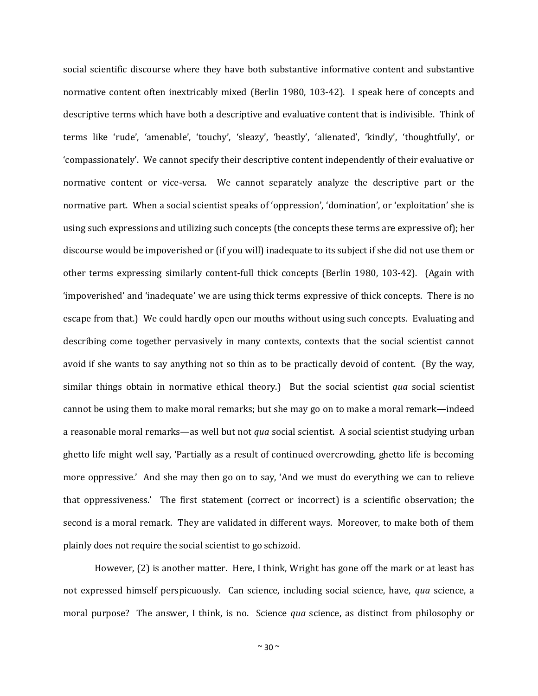social scientific discourse where they have both substantive informative content and substantive normative content often inextricably mixed (Berlin 1980, 103-42). I speak here of concepts and descriptive terms which have both a descriptive and evaluative content that is indivisible. Think of terms like 'rude', 'amenable', 'touchy', 'sleazy', 'beastly', 'alienated', 'kindly', 'thoughtfully', or 'compassionately'. We cannot specify their descriptive content independently of their evaluative or normative content or vice-versa. We cannot separately analyze the descriptive part or the normative part. When a social scientist speaks of 'oppression', 'domination', or 'exploitation' she is using such expressions and utilizing such concepts (the concepts these terms are expressive of); her discourse would be impoverished or (if you will) inadequate to its subject if she did not use them or other terms expressing similarly content-full thick concepts (Berlin 1980, 103-42). (Again with 'impoverished' and 'inadequate' we are using thick terms expressive of thick concepts. There is no escape from that.) We could hardly open our mouths without using such concepts. Evaluating and describing come together pervasively in many contexts, contexts that the social scientist cannot avoid if she wants to say anything not so thin as to be practically devoid of content. (By the way, similar things obtain in normative ethical theory.) But the social scientist *qua* social scientist cannot be using them to make moral remarks; but she may go on to make a moral remark—indeed a reasonable moral remarks—as well but not *qua* social scientist. A social scientist studying urban ghetto life might well say, 'Partially as a result of continued overcrowding, ghetto life is becoming more oppressive.' And she may then go on to say, 'And we must do everything we can to relieve that oppressiveness.' The first statement (correct or incorrect) is a scientific observation; the second is a moral remark. They are validated in different ways. Moreover, to make both of them plainly does not require the social scientist to go schizoid.

However, (2) is another matter. Here, I think, Wright has gone off the mark or at least has not expressed himself perspicuously. Can science, including social science, have, *qua* science, a moral purpose? The answer, I think, is no. Science *qua* science, as distinct from philosophy or

 $~\sim$  30  $\sim$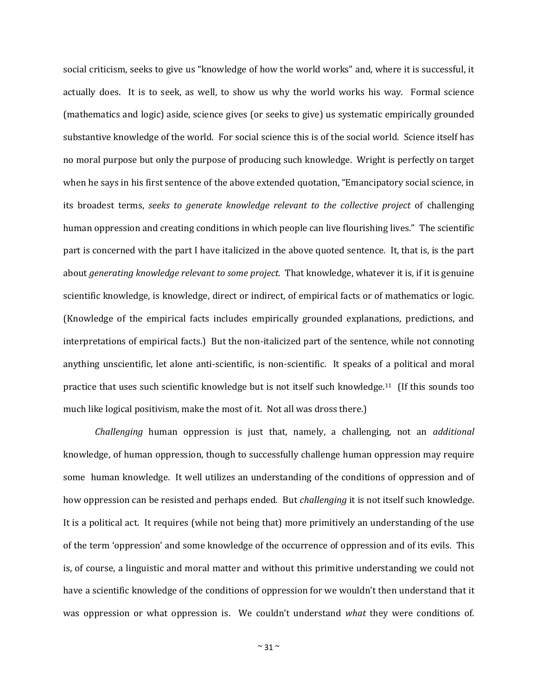social criticism, seeks to give us "knowledge of how the world works" and, where it is successful, it actually does. It is to seek, as well, to show us why the world works his way. Formal science (mathematics and logic) aside, science gives (or seeks to give) us systematic empirically grounded substantive knowledge of the world. For social science this is of the social world. Science itself has no moral purpose but only the purpose of producing such knowledge. Wright is perfectly on target when he says in his first sentence of the above extended quotation, "Emancipatory social science, in its broadest terms, *seeks to generate knowledge relevant to the collective project* of challenging human oppression and creating conditions in which people can live flourishing lives." The scientific part is concerned with the part I have italicized in the above quoted sentence. It, that is, is the part about *generating knowledge relevant to some project.* That knowledge, whatever it is, if it is genuine scientific knowledge, is knowledge, direct or indirect, of empirical facts or of mathematics or logic. (Knowledge of the empirical facts includes empirically grounded explanations, predictions, and interpretations of empirical facts.) But the non-italicized part of the sentence, while not connoting anything unscientific, let alone anti-scientific, is non-scientific. It speaks of a political and moral practice that uses such scientific knowledge but is not itself such knowledge.11 (If this sounds too much like logical positivism, make the most of it. Not all was dross there.)

*Challenging* human oppression is just that, namely, a challenging, not an *additional*  knowledge, of human oppression, though to successfully challenge human oppression may require some human knowledge. It well utilizes an understanding of the conditions of oppression and of how oppression can be resisted and perhaps ended. But *challenging* it is not itself such knowledge. It is a political act. It requires (while not being that) more primitively an understanding of the use of the term 'oppression' and some knowledge of the occurrence of oppression and of its evils. This is, of course, a linguistic and moral matter and without this primitive understanding we could not have a scientific knowledge of the conditions of oppression for we wouldn't then understand that it was oppression or what oppression is. We couldn't understand *what* they were conditions of.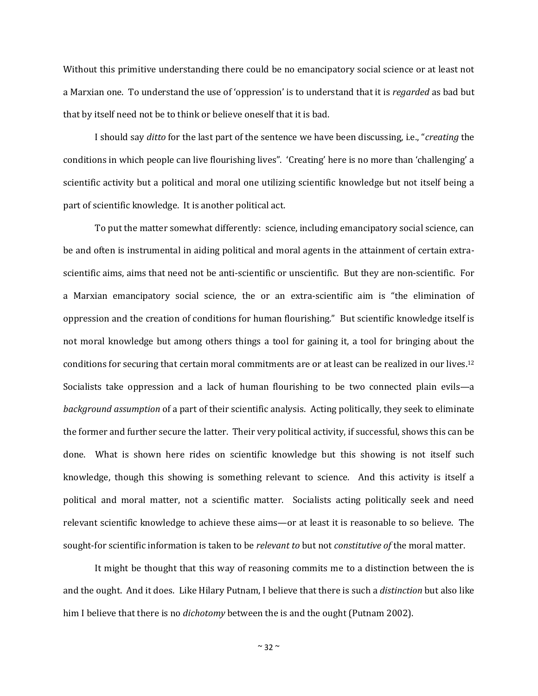Without this primitive understanding there could be no emancipatory social science or at least not a Marxian one. To understand the use of 'oppression' is to understand that it is *regarded* as bad but that by itself need not be to think or believe oneself that it is bad.

I should say *ditto* for the last part of the sentence we have been discussing, i.e., "*creating* the conditions in which people can live flourishing lives". 'Creating' here is no more than 'challenging' a scientific activity but a political and moral one utilizing scientific knowledge but not itself being a part of scientific knowledge. It is another political act.

To put the matter somewhat differently: science, including emancipatory social science, can be and often is instrumental in aiding political and moral agents in the attainment of certain extrascientific aims, aims that need not be anti-scientific or unscientific. But they are non-scientific. For a Marxian emancipatory social science, the or an extra-scientific aim is "the elimination of oppression and the creation of conditions for human flourishing." But scientific knowledge itself is not moral knowledge but among others things a tool for gaining it, a tool for bringing about the conditions for securing that certain moral commitments are or at least can be realized in our lives.<sup>12</sup> Socialists take oppression and a lack of human flourishing to be two connected plain evils—a *background assumption* of a part of their scientific analysis. Acting politically, they seek to eliminate the former and further secure the latter. Their very political activity, if successful, shows this can be done. What is shown here rides on scientific knowledge but this showing is not itself such knowledge, though this showing is something relevant to science. And this activity is itself a political and moral matter, not a scientific matter. Socialists acting politically seek and need relevant scientific knowledge to achieve these aims—or at least it is reasonable to so believe. The sought-for scientific information is taken to be *relevant to* but not *constitutive of* the moral matter.

It might be thought that this way of reasoning commits me to a distinction between the is and the ought. And it does. Like Hilary Putnam, I believe that there is such a *distinction* but also like him I believe that there is no *dichotomy* between the is and the ought (Putnam 2002).

 $~\sim$  32  $\sim$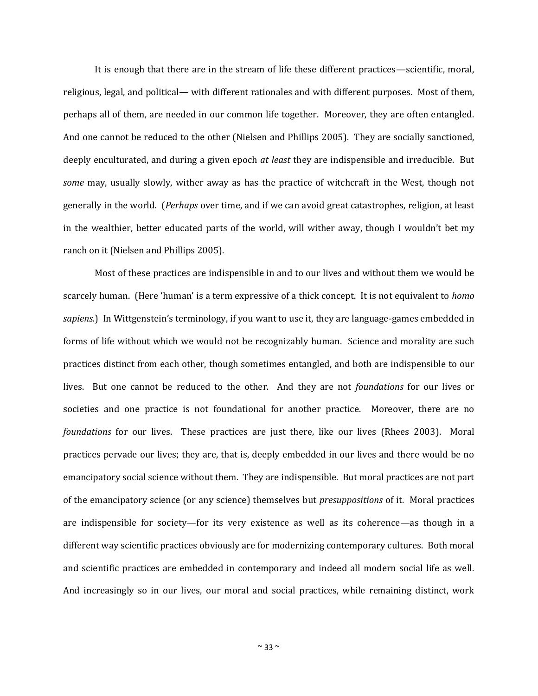It is enough that there are in the stream of life these different practices—scientific, moral, religious, legal, and political— with different rationales and with different purposes. Most of them, perhaps all of them, are needed in our common life together. Moreover, they are often entangled. And one cannot be reduced to the other (Nielsen and Phillips 2005). They are socially sanctioned, deeply enculturated, and during a given epoch *at least* they are indispensible and irreducible. But *some* may, usually slowly, wither away as has the practice of witchcraft in the West, though not generally in the world. (*Perhaps* over time, and if we can avoid great catastrophes, religion, at least in the wealthier, better educated parts of the world, will wither away, though I wouldn't bet my ranch on it (Nielsen and Phillips 2005).

Most of these practices are indispensible in and to our lives and without them we would be scarcely human. (Here 'human' is a term expressive of a thick concept. It is not equivalent to *homo sapiens.*) In Wittgenstein's terminology, if you want to use it, they are language-games embedded in forms of life without which we would not be recognizably human. Science and morality are such practices distinct from each other, though sometimes entangled, and both are indispensible to our lives. But one cannot be reduced to the other. And they are not *foundations* for our lives or societies and one practice is not foundational for another practice. Moreover, there are no *foundations* for our lives. These practices are just there, like our lives (Rhees 2003). Moral practices pervade our lives; they are, that is, deeply embedded in our lives and there would be no emancipatory social science without them. They are indispensible. But moral practices are not part of the emancipatory science (or any science) themselves but *presuppositions* of it. Moral practices are indispensible for society—for its very existence as well as its coherence—as though in a different way scientific practices obviously are for modernizing contemporary cultures. Both moral and scientific practices are embedded in contemporary and indeed all modern social life as well. And increasingly so in our lives, our moral and social practices, while remaining distinct, work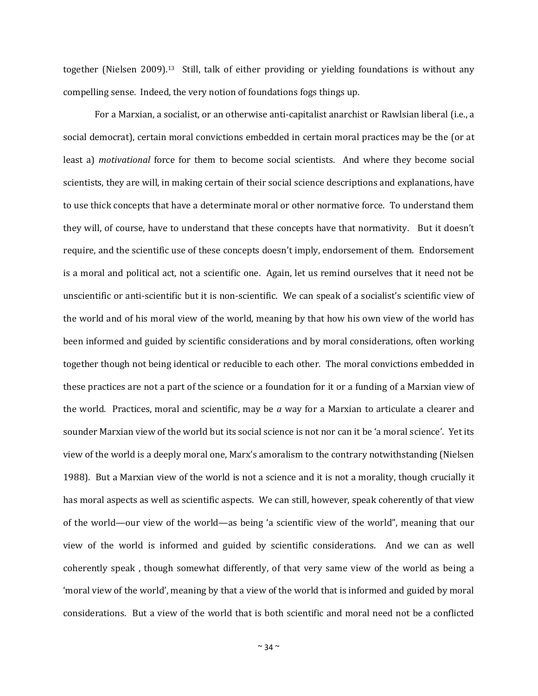together (Nielsen 2009).13 Still, talk of either providing or yielding foundations is without any compelling sense. Indeed, the very notion of foundations fogs things up.

For a Marxian, a socialist, or an otherwise anti-capitalist anarchist or Rawlsian liberal (i.e., a social democrat), certain moral convictions embedded in certain moral practices may be the (or at least a) *motivational* force for them to become social scientists. And where they become social scientists, they are will, in making certain of their social science descriptions and explanations, have to use thick concepts that have a determinate moral or other normative force. To understand them they will, of course, have to understand that these concepts have that normativity. But it doesn't require, and the scientific use of these concepts doesn't imply, endorsement of them. Endorsement is a moral and political act, not a scientific one. Again, let us remind ourselves that it need not be unscientific or anti-scientific but it is non-scientific. We can speak of a socialist's scientific view of the world and of his moral view of the world, meaning by that how his own view of the world has been informed and guided by scientific considerations and by moral considerations, often working together though not being identical or reducible to each other. The moral convictions embedded in these practices are not a part of the science or a foundation for it or a funding of a Marxian view of the world. Practices, moral and scientific, may be *a* way for a Marxian to articulate a clearer and sounder Marxian view of the world but its social science is not nor can it be 'a moral science'. Yet its view of the world is a deeply moral one, Marx's amoralism to the contrary notwithstanding (Nielsen 1988). But a Marxian view of the world is not a science and it is not a morality, though crucially it has moral aspects as well as scientific aspects. We can still, however, speak coherently of that view of the world—our view of the world—as being 'a scientific view of the world", meaning that our view of the world is informed and guided by scientific considerations. And we can as well coherently speak , though somewhat differently, of that very same view of the world as being a 'moral view of the world', meaning by that a view of the world that is informed and guided by moral considerations. But a view of the world that is both scientific and moral need not be a conflicted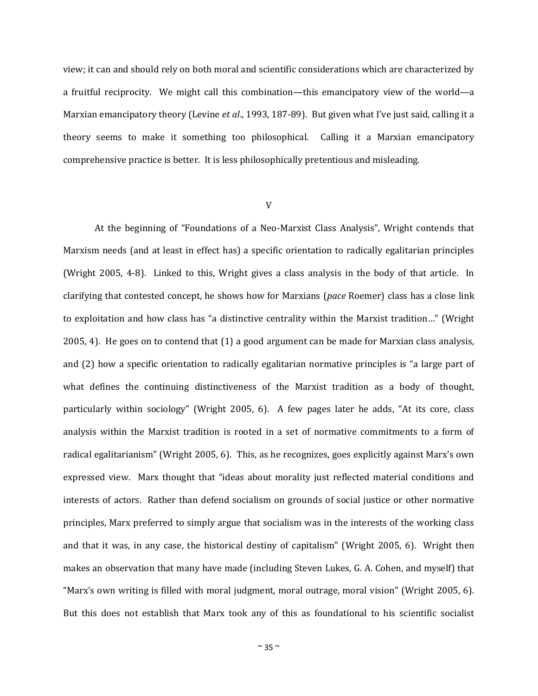view; it can and should rely on both moral and scientific considerations which are characterized by a fruitful reciprocity. We might call this combination—this emancipatory view of the world—a Marxian emancipatory theory (Levine *et al*., 1993, 187-89). But given what I've just said, calling it a theory seems to make it something too philosophical. Calling it a Marxian emancipatory comprehensive practice is better. It is less philosophically pretentious and misleading.

### V

At the beginning of "Foundations of a Neo-Marxist Class Analysis", Wright contends that Marxism needs (and at least in effect has) a specific orientation to radically egalitarian principles (Wright 2005, 4-8). Linked to this, Wright gives a class analysis in the body of that article. In clarifying that contested concept, he shows how for Marxians (*pace* Roemer) class has a close link to exploitation and how class has "a distinctive centrality within the Marxist tradition…" (Wright 2005, 4). He goes on to contend that (1) a good argument can be made for Marxian class analysis, and (2) how a specific orientation to radically egalitarian normative principles is "a large part of what defines the continuing distinctiveness of the Marxist tradition as a body of thought, particularly within sociology" (Wright 2005, 6). A few pages later he adds, "At its core, class analysis within the Marxist tradition is rooted in a set of normative commitments to a form of radical egalitarianism" (Wright 2005, 6). This, as he recognizes, goes explicitly against Marx's own expressed view. Marx thought that "ideas about morality just reflected material conditions and interests of actors. Rather than defend socialism on grounds of social justice or other normative principles, Marx preferred to simply argue that socialism was in the interests of the working class and that it was, in any case, the historical destiny of capitalism" (Wright 2005, 6). Wright then makes an observation that many have made (including Steven Lukes, G. A. Cohen, and myself) that "Marx's own writing is filled with moral judgment, moral outrage, moral vision" (Wright 2005, 6). But this does not establish that Marx took any of this as foundational to his scientific socialist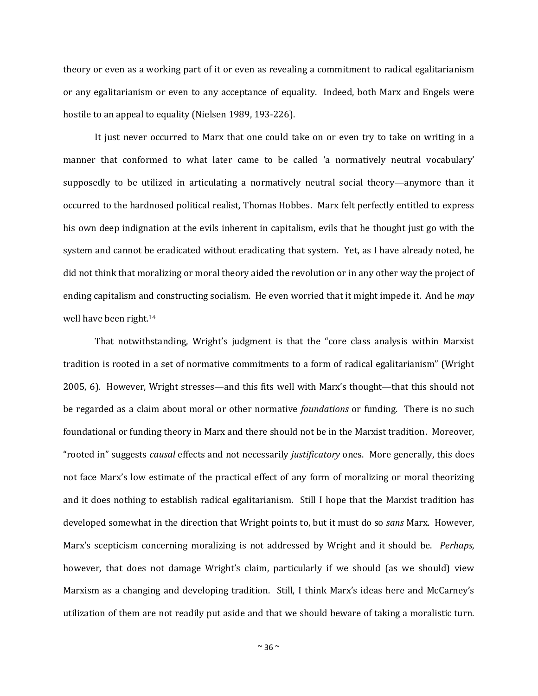theory or even as a working part of it or even as revealing a commitment to radical egalitarianism or any egalitarianism or even to any acceptance of equality. Indeed, both Marx and Engels were hostile to an appeal to equality (Nielsen 1989, 193-226).

It just never occurred to Marx that one could take on or even try to take on writing in a manner that conformed to what later came to be called 'a normatively neutral vocabulary' supposedly to be utilized in articulating a normatively neutral social theory—anymore than it occurred to the hardnosed political realist, Thomas Hobbes. Marx felt perfectly entitled to express his own deep indignation at the evils inherent in capitalism, evils that he thought just go with the system and cannot be eradicated without eradicating that system. Yet, as I have already noted, he did not think that moralizing or moral theory aided the revolution or in any other way the project of ending capitalism and constructing socialism. He even worried that it might impede it. And he *may*  well have been right.<sup>14</sup>

That notwithstanding, Wright's judgment is that the "core class analysis within Marxist tradition is rooted in a set of normative commitments to a form of radical egalitarianism" (Wright 2005, 6). However, Wright stresses—and this fits well with Marx's thought—that this should not be regarded as a claim about moral or other normative *foundations* or funding. There is no such foundational or funding theory in Marx and there should not be in the Marxist tradition. Moreover, "rooted in" suggests *causal* effects and not necessarily *justificatory* ones. More generally, this does not face Marx's low estimate of the practical effect of any form of moralizing or moral theorizing and it does nothing to establish radical egalitarianism. Still I hope that the Marxist tradition has developed somewhat in the direction that Wright points to, but it must do so *sans* Marx. However, Marx's scepticism concerning moralizing is not addressed by Wright and it should be. *Perhaps*, however, that does not damage Wright's claim, particularly if we should (as we should) view Marxism as a changing and developing tradition. Still, I think Marx's ideas here and McCarney's utilization of them are not readily put aside and that we should beware of taking a moralistic turn.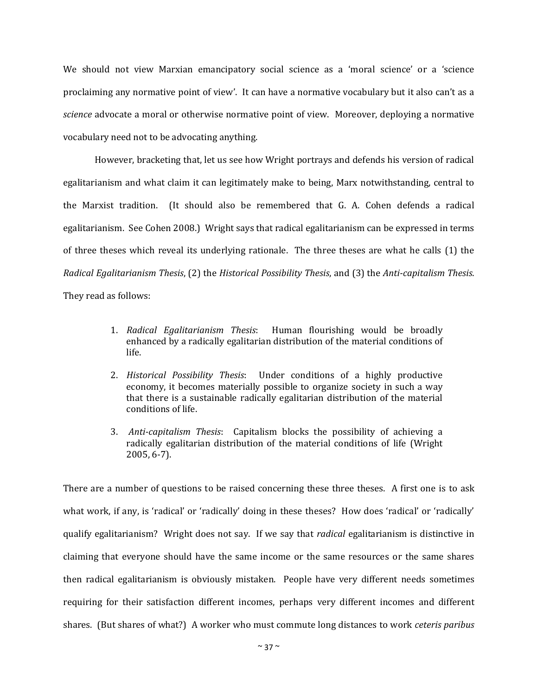We should not view Marxian emancipatory social science as a 'moral science' or a 'science proclaiming any normative point of view'. It can have a normative vocabulary but it also can't as a *science* advocate a moral or otherwise normative point of view. Moreover, deploying a normative vocabulary need not to be advocating anything.

However, bracketing that, let us see how Wright portrays and defends his version of radical egalitarianism and what claim it can legitimately make to being, Marx notwithstanding, central to the Marxist tradition. (It should also be remembered that G. A. Cohen defends a radical egalitarianism. See Cohen 2008.) Wright says that radical egalitarianism can be expressed in terms of three theses which reveal its underlying rationale. The three theses are what he calls (1) the *Radical Egalitarianism Thesis*, (2) the *Historical Possibility Thesis*, and (3) the *Anti-capitalism Thesis*. They read as follows:

- 1. *Radical Egalitarianism Thesis*: Human flourishing would be broadly enhanced by a radically egalitarian distribution of the material conditions of life.
- 2. *Historical Possibility Thesis*: Under conditions of a highly productive economy, it becomes materially possible to organize society in such a way that there is a sustainable radically egalitarian distribution of the material conditions of life.
- 3. *Anti-capitalism Thesis*: Capitalism blocks the possibility of achieving a radically egalitarian distribution of the material conditions of life (Wright 2005, 6-7).

There are a number of questions to be raised concerning these three theses. A first one is to ask what work, if any, is 'radical' or 'radically' doing in these theses? How does 'radical' or 'radically' qualify egalitarianism? Wright does not say. If we say that *radical* egalitarianism is distinctive in claiming that everyone should have the same income or the same resources or the same shares then radical egalitarianism is obviously mistaken. People have very different needs sometimes requiring for their satisfaction different incomes, perhaps very different incomes and different shares. (But shares of what?) A worker who must commute long distances to work *ceteris paribus*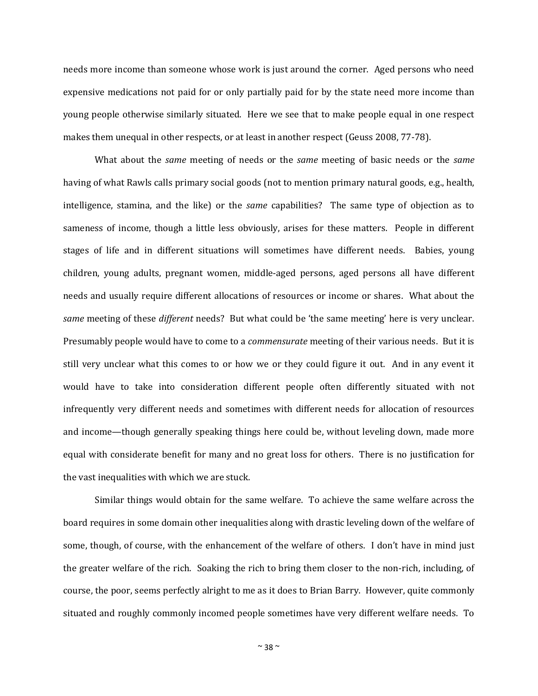needs more income than someone whose work is just around the corner. Aged persons who need expensive medications not paid for or only partially paid for by the state need more income than young people otherwise similarly situated. Here we see that to make people equal in one respect makes them unequal in other respects, or at least in another respect (Geuss 2008, 77-78).

What about the *same* meeting of needs or the *same* meeting of basic needs or the *same*  having of what Rawls calls primary social goods (not to mention primary natural goods, e.g., health, intelligence, stamina, and the like) or the *same* capabilities? The same type of objection as to sameness of income, though a little less obviously, arises for these matters. People in different stages of life and in different situations will sometimes have different needs. Babies, young children, young adults, pregnant women, middle-aged persons, aged persons all have different needs and usually require different allocations of resources or income or shares. What about the *same* meeting of these *different* needs? But what could be 'the same meeting' here is very unclear. Presumably people would have to come to a *commensurate* meeting of their various needs. But it is still very unclear what this comes to or how we or they could figure it out. And in any event it would have to take into consideration different people often differently situated with not infrequently very different needs and sometimes with different needs for allocation of resources and income—though generally speaking things here could be, without leveling down, made more equal with considerate benefit for many and no great loss for others. There is no justification for the vast inequalities with which we are stuck.

Similar things would obtain for the same welfare. To achieve the same welfare across the board requires in some domain other inequalities along with drastic leveling down of the welfare of some, though, of course, with the enhancement of the welfare of others. I don't have in mind just the greater welfare of the rich. Soaking the rich to bring them closer to the non-rich, including, of course, the poor, seems perfectly alright to me as it does to Brian Barry. However, quite commonly situated and roughly commonly incomed people sometimes have very different welfare needs. To

 $~\sim$  38  $\sim$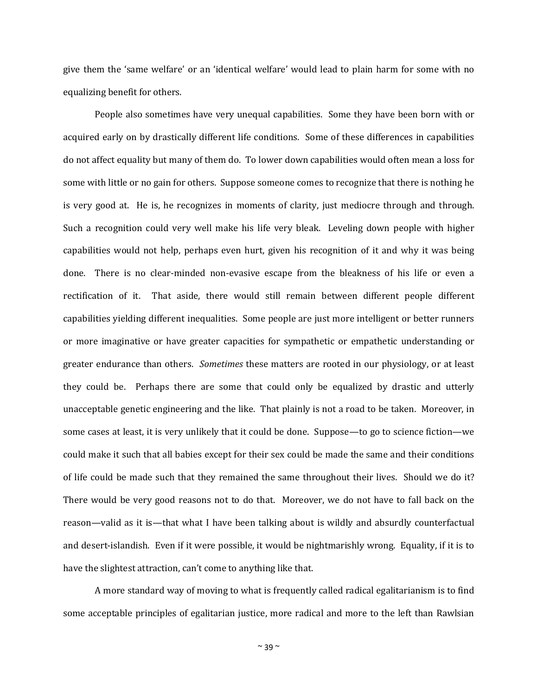give them the 'same welfare' or an 'identical welfare' would lead to plain harm for some with no equalizing benefit for others.

People also sometimes have very unequal capabilities. Some they have been born with or acquired early on by drastically different life conditions. Some of these differences in capabilities do not affect equality but many of them do. To lower down capabilities would often mean a loss for some with little or no gain for others. Suppose someone comes to recognize that there is nothing he is very good at. He is, he recognizes in moments of clarity, just mediocre through and through. Such a recognition could very well make his life very bleak. Leveling down people with higher capabilities would not help, perhaps even hurt, given his recognition of it and why it was being done. There is no clear-minded non-evasive escape from the bleakness of his life or even a rectification of it. That aside, there would still remain between different people different capabilities yielding different inequalities. Some people are just more intelligent or better runners or more imaginative or have greater capacities for sympathetic or empathetic understanding or greater endurance than others. *Sometimes* these matters are rooted in our physiology, or at least they could be. Perhaps there are some that could only be equalized by drastic and utterly unacceptable genetic engineering and the like. That plainly is not a road to be taken. Moreover, in some cases at least, it is very unlikely that it could be done. Suppose—to go to science fiction—we could make it such that all babies except for their sex could be made the same and their conditions of life could be made such that they remained the same throughout their lives. Should we do it? There would be very good reasons not to do that. Moreover, we do not have to fall back on the reason—valid as it is—that what I have been talking about is wildly and absurdly counterfactual and desert-islandish. Even if it were possible, it would be nightmarishly wrong. Equality, if it is to have the slightest attraction, can't come to anything like that.

A more standard way of moving to what is frequently called radical egalitarianism is to find some acceptable principles of egalitarian justice, more radical and more to the left than Rawlsian

 $\sim$  39  $\sim$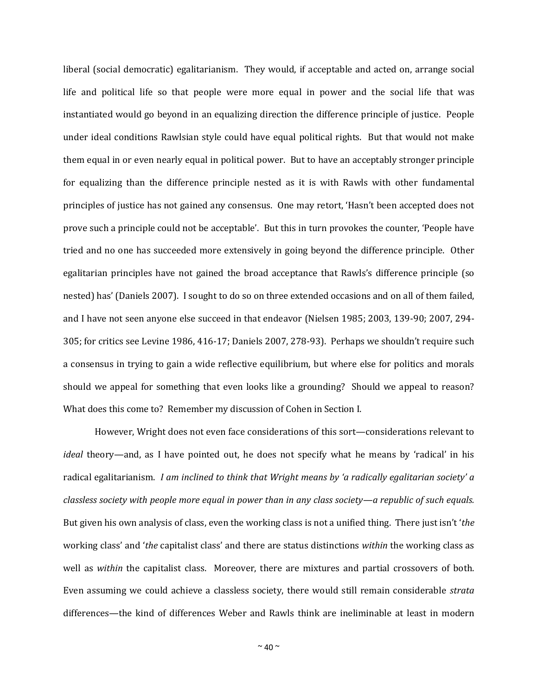liberal (social democratic) egalitarianism. They would, if acceptable and acted on, arrange social life and political life so that people were more equal in power and the social life that was instantiated would go beyond in an equalizing direction the difference principle of justice. People under ideal conditions Rawlsian style could have equal political rights. But that would not make them equal in or even nearly equal in political power. But to have an acceptably stronger principle for equalizing than the difference principle nested as it is with Rawls with other fundamental principles of justice has not gained any consensus. One may retort, 'Hasn't been accepted does not prove such a principle could not be acceptable'. But this in turn provokes the counter, 'People have tried and no one has succeeded more extensively in going beyond the difference principle. Other egalitarian principles have not gained the broad acceptance that Rawls's difference principle (so nested) has' (Daniels 2007). I sought to do so on three extended occasions and on all of them failed, and I have not seen anyone else succeed in that endeavor (Nielsen 1985; 2003, 139-90; 2007, 294- 305; for critics see Levine 1986, 416-17; Daniels 2007, 278-93). Perhaps we shouldn't require such a consensus in trying to gain a wide reflective equilibrium, but where else for politics and morals should we appeal for something that even looks like a grounding? Should we appeal to reason? What does this come to? Remember my discussion of Cohen in Section I.

However, Wright does not even face considerations of this sort—considerations relevant to *ideal* theory—and, as I have pointed out, he does not specify what he means by 'radical' in his radical egalitarianism. *I am inclined to think that Wright means by 'a radically egalitarian society' a classless society with people more equal in power than in any class society—a republic of such equals.* But given his own analysis of class, even the working class is not a unified thing. There just isn't '*the* working class' and '*the* capitalist class' and there are status distinctions *within* the working class as well as *within* the capitalist class. Moreover, there are mixtures and partial crossovers of both. Even assuming we could achieve a classless society, there would still remain considerable *strata* differences—the kind of differences Weber and Rawls think are ineliminable at least in modern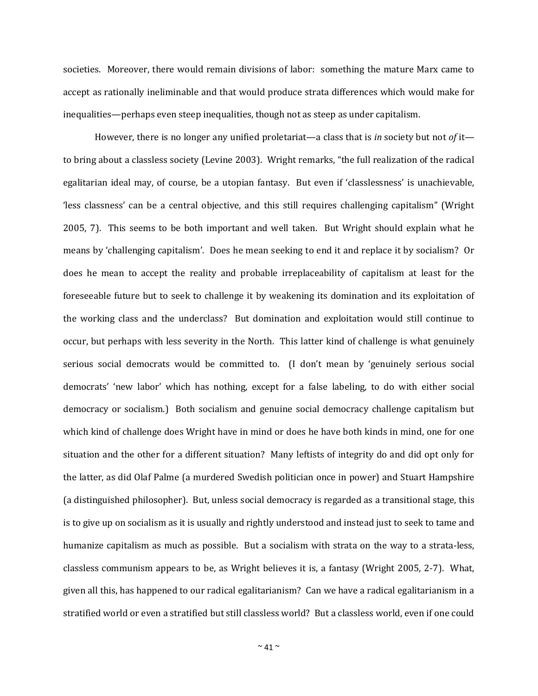societies. Moreover, there would remain divisions of labor: something the mature Marx came to accept as rationally ineliminable and that would produce strata differences which would make for inequalities—perhaps even steep inequalities, though not as steep as under capitalism.

However, there is no longer any unified proletariat—a class that is *in* society but not *of* it to bring about a classless society (Levine 2003). Wright remarks, "the full realization of the radical egalitarian ideal may, of course, be a utopian fantasy. But even if 'classlessness' is unachievable, 'less classness' can be a central objective, and this still requires challenging capitalism" (Wright 2005, 7). This seems to be both important and well taken. But Wright should explain what he means by 'challenging capitalism'. Does he mean seeking to end it and replace it by socialism? Or does he mean to accept the reality and probable irreplaceability of capitalism at least for the foreseeable future but to seek to challenge it by weakening its domination and its exploitation of the working class and the underclass? But domination and exploitation would still continue to occur, but perhaps with less severity in the North. This latter kind of challenge is what genuinely serious social democrats would be committed to. (I don't mean by 'genuinely serious social democrats' 'new labor' which has nothing, except for a false labeling, to do with either social democracy or socialism.) Both socialism and genuine social democracy challenge capitalism but which kind of challenge does Wright have in mind or does he have both kinds in mind, one for one situation and the other for a different situation? Many leftists of integrity do and did opt only for the latter, as did Olaf Palme (a murdered Swedish politician once in power) and Stuart Hampshire (a distinguished philosopher). But, unless social democracy is regarded as a transitional stage, this is to give up on socialism as it is usually and rightly understood and instead just to seek to tame and humanize capitalism as much as possible. But a socialism with strata on the way to a strata-less, classless communism appears to be, as Wright believes it is, a fantasy (Wright 2005, 2-7). What, given all this, has happened to our radical egalitarianism? Can we have a radical egalitarianism in a stratified world or even a stratified but still classless world? But a classless world, even if one could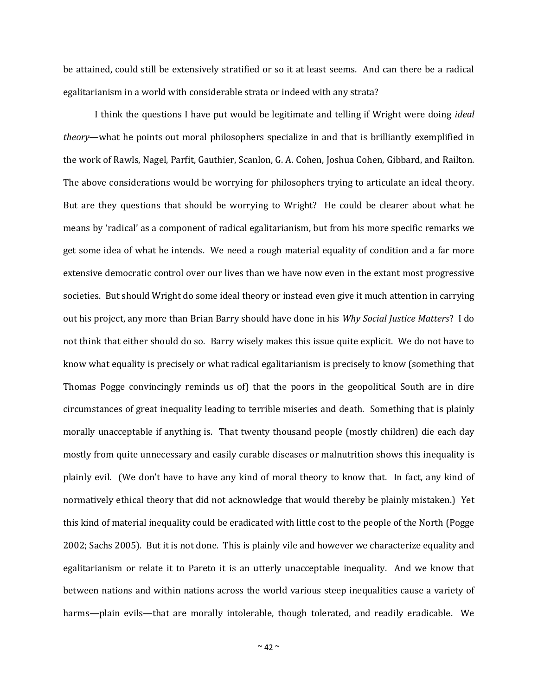be attained, could still be extensively stratified or so it at least seems. And can there be a radical egalitarianism in a world with considerable strata or indeed with any strata?

I think the questions I have put would be legitimate and telling if Wright were doing *ideal theory*—what he points out moral philosophers specialize in and that is brilliantly exemplified in the work of Rawls, Nagel, Parfit, Gauthier, Scanlon, G. A. Cohen, Joshua Cohen, Gibbard, and Railton. The above considerations would be worrying for philosophers trying to articulate an ideal theory. But are they questions that should be worrying to Wright? He could be clearer about what he means by 'radical' as a component of radical egalitarianism, but from his more specific remarks we get some idea of what he intends. We need a rough material equality of condition and a far more extensive democratic control over our lives than we have now even in the extant most progressive societies. But should Wright do some ideal theory or instead even give it much attention in carrying out his project, any more than Brian Barry should have done in his *Why Social Justice Matters*? I do not think that either should do so. Barry wisely makes this issue quite explicit. We do not have to know what equality is precisely or what radical egalitarianism is precisely to know (something that Thomas Pogge convincingly reminds us of) that the poors in the geopolitical South are in dire circumstances of great inequality leading to terrible miseries and death. Something that is plainly morally unacceptable if anything is. That twenty thousand people (mostly children) die each day mostly from quite unnecessary and easily curable diseases or malnutrition shows this inequality is plainly evil. (We don't have to have any kind of moral theory to know that. In fact, any kind of normatively ethical theory that did not acknowledge that would thereby be plainly mistaken.) Yet this kind of material inequality could be eradicated with little cost to the people of the North (Pogge 2002; Sachs 2005). But it is not done. This is plainly vile and however we characterize equality and egalitarianism or relate it to Pareto it is an utterly unacceptable inequality. And we know that between nations and within nations across the world various steep inequalities cause a variety of harms—plain evils—that are morally intolerable, though tolerated, and readily eradicable. We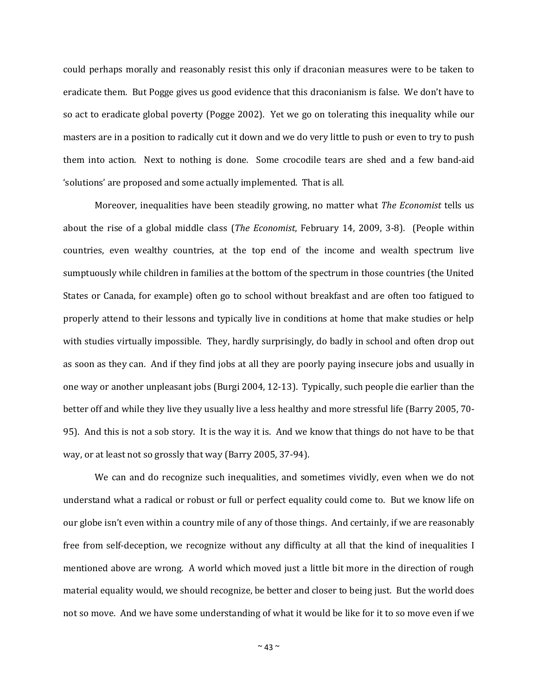could perhaps morally and reasonably resist this only if draconian measures were to be taken to eradicate them. But Pogge gives us good evidence that this draconianism is false. We don't have to so act to eradicate global poverty (Pogge 2002). Yet we go on tolerating this inequality while our masters are in a position to radically cut it down and we do very little to push or even to try to push them into action. Next to nothing is done. Some crocodile tears are shed and a few band-aid 'solutions' are proposed and some actually implemented. That is all.

Moreover, inequalities have been steadily growing, no matter what *The Economist* tells us about the rise of a global middle class (*The Economist*, February 14, 2009, 3-8). (People within countries, even wealthy countries, at the top end of the income and wealth spectrum live sumptuously while children in families at the bottom of the spectrum in those countries (the United States or Canada, for example) often go to school without breakfast and are often too fatigued to properly attend to their lessons and typically live in conditions at home that make studies or help with studies virtually impossible. They, hardly surprisingly, do badly in school and often drop out as soon as they can. And if they find jobs at all they are poorly paying insecure jobs and usually in one way or another unpleasant jobs (Burgi 2004, 12-13). Typically, such people die earlier than the better off and while they live they usually live a less healthy and more stressful life (Barry 2005, 70- 95). And this is not a sob story. It is the way it is. And we know that things do not have to be that way, or at least not so grossly that way (Barry 2005, 37-94).

We can and do recognize such inequalities, and sometimes vividly, even when we do not understand what a radical or robust or full or perfect equality could come to. But we know life on our globe isn't even within a country mile of any of those things. And certainly, if we are reasonably free from self-deception, we recognize without any difficulty at all that the kind of inequalities I mentioned above are wrong. A world which moved just a little bit more in the direction of rough material equality would, we should recognize, be better and closer to being just. But the world does not so move. And we have some understanding of what it would be like for it to so move even if we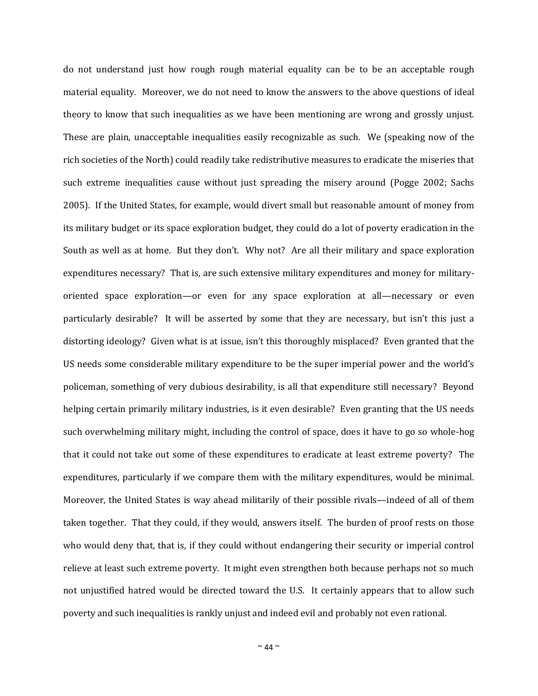do not understand just how rough rough material equality can be to be an acceptable rough material equality. Moreover, we do not need to know the answers to the above questions of ideal theory to know that such inequalities as we have been mentioning are wrong and grossly unjust. These are plain, unacceptable inequalities easily recognizable as such. We (speaking now of the rich societies of the North) could readily take redistributive measures to eradicate the miseries that such extreme inequalities cause without just spreading the misery around (Pogge 2002; Sachs 2005). If the United States, for example, would divert small but reasonable amount of money from its military budget or its space exploration budget, they could do a lot of poverty eradication in the South as well as at home. But they don't. Why not? Are all their military and space exploration expenditures necessary? That is, are such extensive military expenditures and money for militaryoriented space exploration—or even for any space exploration at all—necessary or even particularly desirable? It will be asserted by some that they are necessary, but isn't this just a distorting ideology? Given what is at issue, isn't this thoroughly misplaced? Even granted that the US needs some considerable military expenditure to be the super imperial power and the world's policeman, something of very dubious desirability, is all that expenditure still necessary? Beyond helping certain primarily military industries, is it even desirable? Even granting that the US needs such overwhelming military might, including the control of space, does it have to go so whole-hog that it could not take out some of these expenditures to eradicate at least extreme poverty? The expenditures, particularly if we compare them with the military expenditures, would be minimal. Moreover, the United States is way ahead militarily of their possible rivals—indeed of all of them taken together. That they could, if they would, answers itself. The burden of proof rests on those who would deny that, that is, if they could without endangering their security or imperial control relieve at least such extreme poverty. It might even strengthen both because perhaps not so much not unjustified hatred would be directed toward the U.S. It certainly appears that to allow such poverty and such inequalities is rankly unjust and indeed evil and probably not even rational.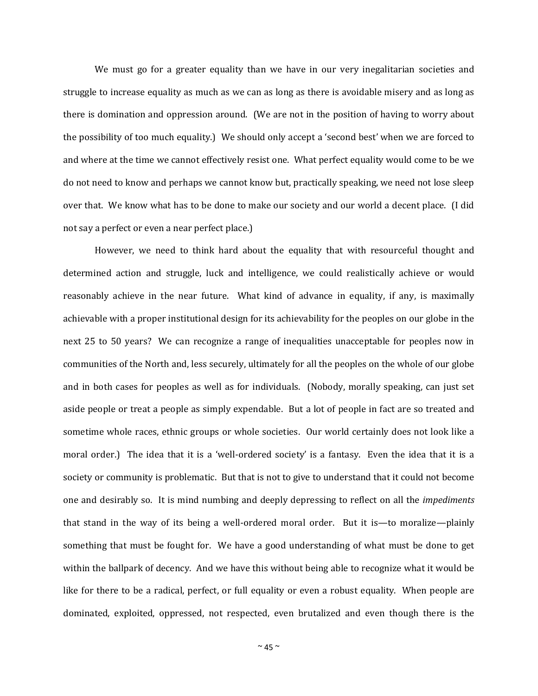We must go for a greater equality than we have in our very inegalitarian societies and struggle to increase equality as much as we can as long as there is avoidable misery and as long as there is domination and oppression around. (We are not in the position of having to worry about the possibility of too much equality.) We should only accept a 'second best' when we are forced to and where at the time we cannot effectively resist one. What perfect equality would come to be we do not need to know and perhaps we cannot know but, practically speaking, we need not lose sleep over that. We know what has to be done to make our society and our world a decent place. (I did not say a perfect or even a near perfect place.)

However, we need to think hard about the equality that with resourceful thought and determined action and struggle, luck and intelligence, we could realistically achieve or would reasonably achieve in the near future. What kind of advance in equality, if any, is maximally achievable with a proper institutional design for its achievability for the peoples on our globe in the next 25 to 50 years? We can recognize a range of inequalities unacceptable for peoples now in communities of the North and, less securely, ultimately for all the peoples on the whole of our globe and in both cases for peoples as well as for individuals. (Nobody, morally speaking, can just set aside people or treat a people as simply expendable. But a lot of people in fact are so treated and sometime whole races, ethnic groups or whole societies. Our world certainly does not look like a moral order.) The idea that it is a 'well-ordered society' is a fantasy. Even the idea that it is a society or community is problematic. But that is not to give to understand that it could not become one and desirably so. It is mind numbing and deeply depressing to reflect on all the *impediments* that stand in the way of its being a well-ordered moral order. But it is—to moralize—plainly something that must be fought for. We have a good understanding of what must be done to get within the ballpark of decency. And we have this without being able to recognize what it would be like for there to be a radical, perfect, or full equality or even a robust equality. When people are dominated, exploited, oppressed, not respected, even brutalized and even though there is the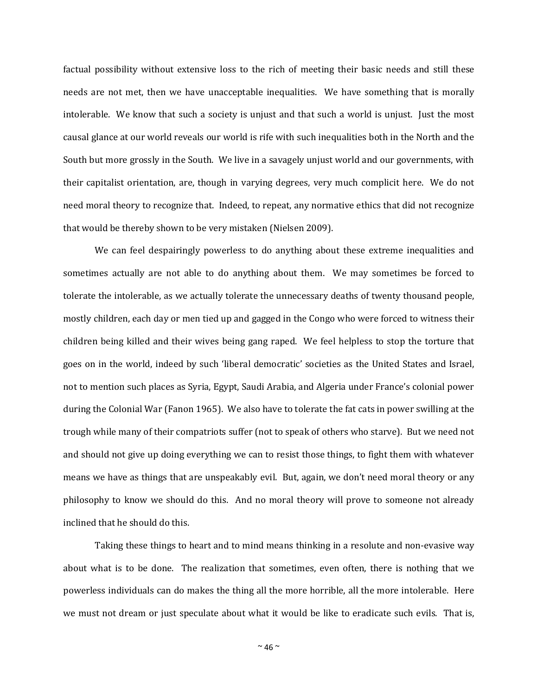factual possibility without extensive loss to the rich of meeting their basic needs and still these needs are not met, then we have unacceptable inequalities. We have something that is morally intolerable. We know that such a society is unjust and that such a world is unjust. Just the most causal glance at our world reveals our world is rife with such inequalities both in the North and the South but more grossly in the South. We live in a savagely unjust world and our governments, with their capitalist orientation, are, though in varying degrees, very much complicit here. We do not need moral theory to recognize that. Indeed, to repeat, any normative ethics that did not recognize that would be thereby shown to be very mistaken (Nielsen 2009).

We can feel despairingly powerless to do anything about these extreme inequalities and sometimes actually are not able to do anything about them. We may sometimes be forced to tolerate the intolerable, as we actually tolerate the unnecessary deaths of twenty thousand people, mostly children, each day or men tied up and gagged in the Congo who were forced to witness their children being killed and their wives being gang raped. We feel helpless to stop the torture that goes on in the world, indeed by such 'liberal democratic' societies as the United States and Israel, not to mention such places as Syria, Egypt, Saudi Arabia, and Algeria under France's colonial power during the Colonial War (Fanon 1965). We also have to tolerate the fat cats in power swilling at the trough while many of their compatriots suffer (not to speak of others who starve). But we need not and should not give up doing everything we can to resist those things, to fight them with whatever means we have as things that are unspeakably evil. But, again, we don't need moral theory or any philosophy to know we should do this. And no moral theory will prove to someone not already inclined that he should do this.

Taking these things to heart and to mind means thinking in a resolute and non-evasive way about what is to be done. The realization that sometimes, even often, there is nothing that we powerless individuals can do makes the thing all the more horrible, all the more intolerable. Here we must not dream or just speculate about what it would be like to eradicate such evils. That is,

 $~\sim$  46  $\sim$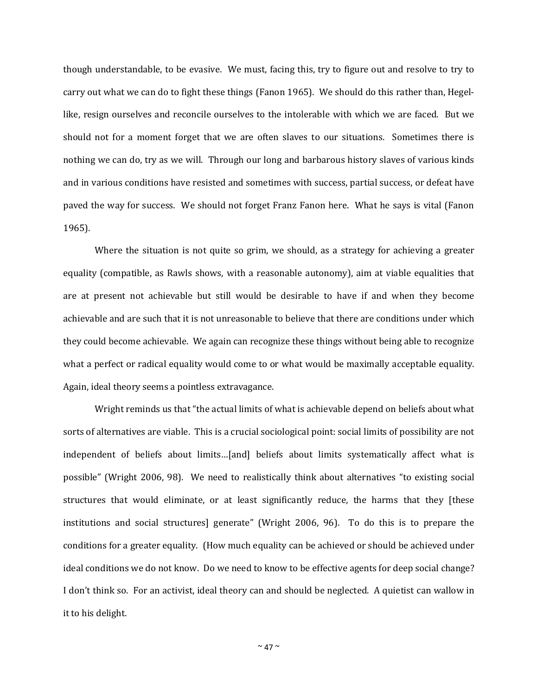though understandable, to be evasive. We must, facing this, try to figure out and resolve to try to carry out what we can do to fight these things (Fanon 1965). We should do this rather than, Hegellike, resign ourselves and reconcile ourselves to the intolerable with which we are faced. But we should not for a moment forget that we are often slaves to our situations. Sometimes there is nothing we can do, try as we will. Through our long and barbarous history slaves of various kinds and in various conditions have resisted and sometimes with success, partial success, or defeat have paved the way for success. We should not forget Franz Fanon here. What he says is vital (Fanon 1965).

Where the situation is not quite so grim, we should, as a strategy for achieving a greater equality (compatible, as Rawls shows, with a reasonable autonomy), aim at viable equalities that are at present not achievable but still would be desirable to have if and when they become achievable and are such that it is not unreasonable to believe that there are conditions under which they could become achievable. We again can recognize these things without being able to recognize what a perfect or radical equality would come to or what would be maximally acceptable equality. Again, ideal theory seems a pointless extravagance.

Wright reminds us that "the actual limits of what is achievable depend on beliefs about what sorts of alternatives are viable. This is a crucial sociological point: social limits of possibility are not independent of beliefs about limits…[and] beliefs about limits systematically affect what is possible" (Wright 2006, 98). We need to realistically think about alternatives "to existing social structures that would eliminate, or at least significantly reduce, the harms that they [these institutions and social structures] generate" (Wright 2006, 96). To do this is to prepare the conditions for a greater equality. (How much equality can be achieved or should be achieved under ideal conditions we do not know. Do we need to know to be effective agents for deep social change? I don't think so. For an activist, ideal theory can and should be neglected. A quietist can wallow in it to his delight.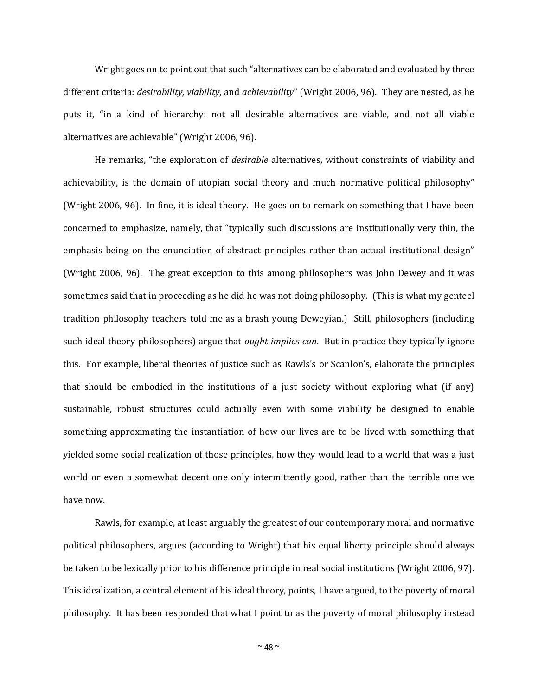Wright goes on to point out that such "alternatives can be elaborated and evaluated by three different criteria: *desirability, viability*, and *achievability*" (Wright 2006, 96). They are nested, as he puts it, "in a kind of hierarchy: not all desirable alternatives are viable, and not all viable alternatives are achievable" (Wright 2006, 96).

He remarks, "the exploration of *desirable* alternatives, without constraints of viability and achievability, is the domain of utopian social theory and much normative political philosophy" (Wright 2006, 96). In fine, it is ideal theory. He goes on to remark on something that I have been concerned to emphasize, namely, that "typically such discussions are institutionally very thin, the emphasis being on the enunciation of abstract principles rather than actual institutional design" (Wright 2006, 96). The great exception to this among philosophers was John Dewey and it was sometimes said that in proceeding as he did he was not doing philosophy. (This is what my genteel tradition philosophy teachers told me as a brash young Deweyian.) Still, philosophers (including such ideal theory philosophers) argue that *ought implies can*. But in practice they typically ignore this. For example, liberal theories of justice such as Rawls's or Scanlon's, elaborate the principles that should be embodied in the institutions of a just society without exploring what (if any) sustainable, robust structures could actually even with some viability be designed to enable something approximating the instantiation of how our lives are to be lived with something that yielded some social realization of those principles, how they would lead to a world that was a just world or even a somewhat decent one only intermittently good, rather than the terrible one we have now.

Rawls, for example, at least arguably the greatest of our contemporary moral and normative political philosophers, argues (according to Wright) that his equal liberty principle should always be taken to be lexically prior to his difference principle in real social institutions (Wright 2006, 97). This idealization, a central element of his ideal theory, points, I have argued, to the poverty of moral philosophy. It has been responded that what I point to as the poverty of moral philosophy instead

 $~^{\sim}$  48  $~^{\sim}$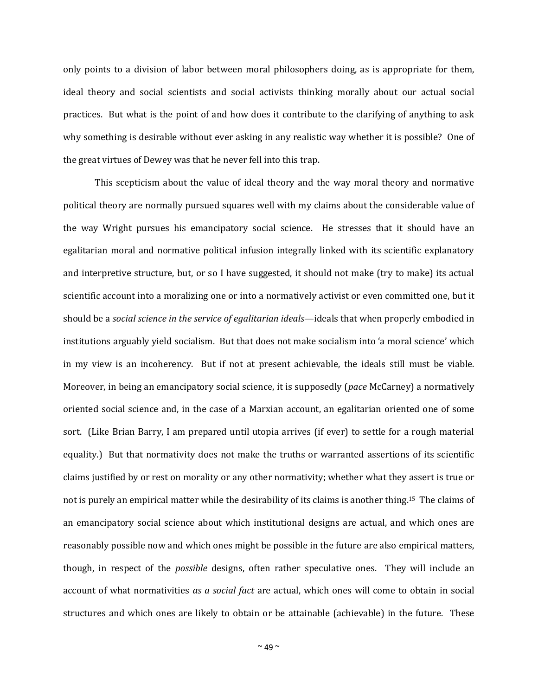only points to a division of labor between moral philosophers doing, as is appropriate for them, ideal theory and social scientists and social activists thinking morally about our actual social practices. But what is the point of and how does it contribute to the clarifying of anything to ask why something is desirable without ever asking in any realistic way whether it is possible? One of the great virtues of Dewey was that he never fell into this trap.

This scepticism about the value of ideal theory and the way moral theory and normative political theory are normally pursued squares well with my claims about the considerable value of the way Wright pursues his emancipatory social science. He stresses that it should have an egalitarian moral and normative political infusion integrally linked with its scientific explanatory and interpretive structure, but, or so I have suggested, it should not make (try to make) its actual scientific account into a moralizing one or into a normatively activist or even committed one, but it should be a *social science in the service of egalitarian ideals*—ideals that when properly embodied in institutions arguably yield socialism. But that does not make socialism into 'a moral science' which in my view is an incoherency. But if not at present achievable, the ideals still must be viable. Moreover, in being an emancipatory social science, it is supposedly (*pace* McCarney) a normatively oriented social science and, in the case of a Marxian account, an egalitarian oriented one of some sort. (Like Brian Barry, I am prepared until utopia arrives (if ever) to settle for a rough material equality.) But that normativity does not make the truths or warranted assertions of its scientific claims justified by or rest on morality or any other normativity; whether what they assert is true or not is purely an empirical matter while the desirability of its claims is another thing.15 The claims of an emancipatory social science about which institutional designs are actual, and which ones are reasonably possible now and which ones might be possible in the future are also empirical matters, though, in respect of the *possible* designs, often rather speculative ones. They will include an account of what normativities *as a social fact* are actual, which ones will come to obtain in social structures and which ones are likely to obtain or be attainable (achievable) in the future. These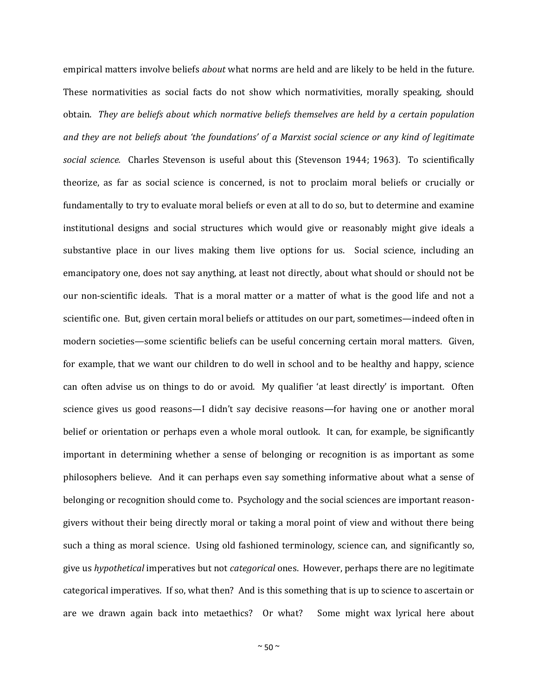empirical matters involve beliefs *about* what norms are held and are likely to be held in the future. These normativities as social facts do not show which normativities, morally speaking, should obtain. *They are beliefs about which normative beliefs themselves are held by a certain population and they are not beliefs about 'the foundations' of a Marxist social science or any kind of legitimate social science.* Charles Stevenson is useful about this (Stevenson 1944; 1963). To scientifically theorize, as far as social science is concerned, is not to proclaim moral beliefs or crucially or fundamentally to try to evaluate moral beliefs or even at all to do so, but to determine and examine institutional designs and social structures which would give or reasonably might give ideals a substantive place in our lives making them live options for us. Social science, including an emancipatory one, does not say anything, at least not directly, about what should or should not be our non-scientific ideals. That is a moral matter or a matter of what is the good life and not a scientific one. But, given certain moral beliefs or attitudes on our part, sometimes—indeed often in modern societies—some scientific beliefs can be useful concerning certain moral matters. Given, for example, that we want our children to do well in school and to be healthy and happy, science can often advise us on things to do or avoid. My qualifier 'at least directly' is important. Often science gives us good reasons—I didn't say decisive reasons—for having one or another moral belief or orientation or perhaps even a whole moral outlook. It can, for example, be significantly important in determining whether a sense of belonging or recognition is as important as some philosophers believe. And it can perhaps even say something informative about what a sense of belonging or recognition should come to. Psychology and the social sciences are important reasongivers without their being directly moral or taking a moral point of view and without there being such a thing as moral science. Using old fashioned terminology, science can, and significantly so, give us *hypothetical* imperatives but not *categorical* ones. However, perhaps there are no legitimate categorical imperatives. If so, what then? And is this something that is up to science to ascertain or are we drawn again back into metaethics? Or what? Some might wax lyrical here about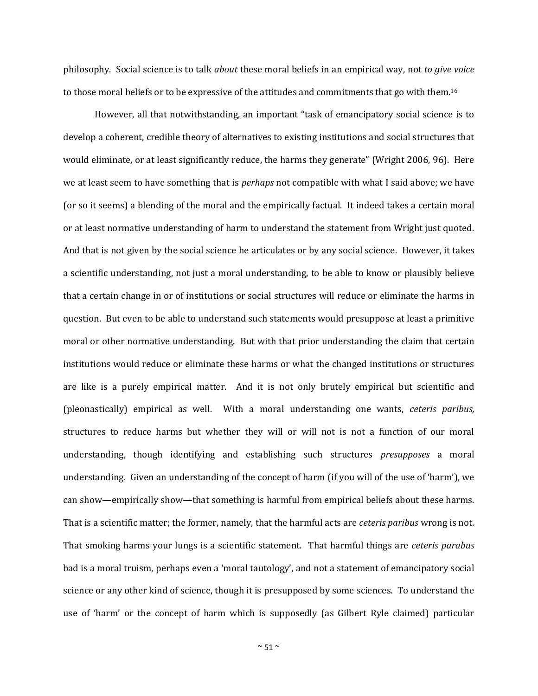philosophy. Social science is to talk *about* these moral beliefs in an empirical way, not *to give voice* to those moral beliefs or to be expressive of the attitudes and commitments that go with them.<sup>16</sup>

However, all that notwithstanding, an important "task of emancipatory social science is to develop a coherent, credible theory of alternatives to existing institutions and social structures that would eliminate, or at least significantly reduce, the harms they generate" (Wright 2006, 96). Here we at least seem to have something that is *perhaps* not compatible with what I said above; we have (or so it seems) a blending of the moral and the empirically factual. It indeed takes a certain moral or at least normative understanding of harm to understand the statement from Wright just quoted. And that is not given by the social science he articulates or by any social science. However, it takes a scientific understanding, not just a moral understanding, to be able to know or plausibly believe that a certain change in or of institutions or social structures will reduce or eliminate the harms in question. But even to be able to understand such statements would presuppose at least a primitive moral or other normative understanding. But with that prior understanding the claim that certain institutions would reduce or eliminate these harms or what the changed institutions or structures are like is a purely empirical matter. And it is not only brutely empirical but scientific and (pleonastically) empirical as well. With a moral understanding one wants, *ceteris paribus,* structures to reduce harms but whether they will or will not is not a function of our moral understanding, though identifying and establishing such structures *presupposes* a moral understanding. Given an understanding of the concept of harm (if you will of the use of 'harm'), we can show—empirically show—that something is harmful from empirical beliefs about these harms. That is a scientific matter; the former, namely, that the harmful acts are *ceteris paribus* wrong is not. That smoking harms your lungs is a scientific statement. That harmful things are *ceteris parabus*  bad is a moral truism, perhaps even a 'moral tautology', and not a statement of emancipatory social science or any other kind of science, though it is presupposed by some sciences. To understand the use of 'harm' or the concept of harm which is supposedly (as Gilbert Ryle claimed) particular

 $\sim$  51  $\sim$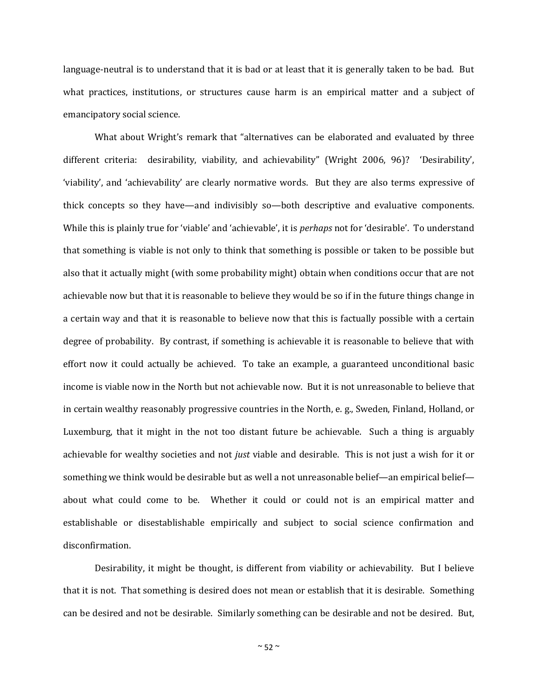language-neutral is to understand that it is bad or at least that it is generally taken to be bad. But what practices, institutions, or structures cause harm is an empirical matter and a subject of emancipatory social science.

What about Wright's remark that "alternatives can be elaborated and evaluated by three different criteria: desirability, viability, and achievability" (Wright 2006, 96)? 'Desirability', 'viability', and 'achievability' are clearly normative words. But they are also terms expressive of thick concepts so they have—and indivisibly so—both descriptive and evaluative components. While this is plainly true for 'viable' and 'achievable', it is *perhaps* not for 'desirable'. To understand that something is viable is not only to think that something is possible or taken to be possible but also that it actually might (with some probability might) obtain when conditions occur that are not achievable now but that it is reasonable to believe they would be so if in the future things change in a certain way and that it is reasonable to believe now that this is factually possible with a certain degree of probability. By contrast, if something is achievable it is reasonable to believe that with effort now it could actually be achieved. To take an example, a guaranteed unconditional basic income is viable now in the North but not achievable now. But it is not unreasonable to believe that in certain wealthy reasonably progressive countries in the North, e. g., Sweden, Finland, Holland, or Luxemburg, that it might in the not too distant future be achievable. Such a thing is arguably achievable for wealthy societies and not *just* viable and desirable. This is not just a wish for it or something we think would be desirable but as well a not unreasonable belief—an empirical belief about what could come to be. Whether it could or could not is an empirical matter and establishable or disestablishable empirically and subject to social science confirmation and disconfirmation.

Desirability, it might be thought, is different from viability or achievability. But I believe that it is not. That something is desired does not mean or establish that it is desirable. Something can be desired and not be desirable. Similarly something can be desirable and not be desired. But,

 $~\sim$  52  $\sim$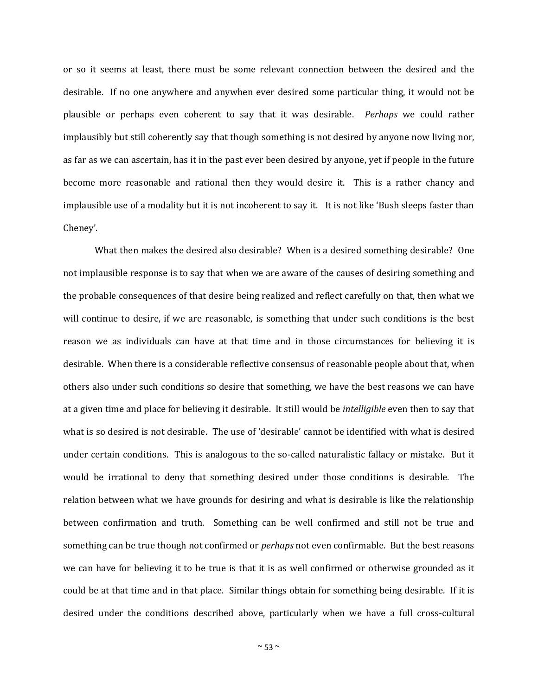or so it seems at least, there must be some relevant connection between the desired and the desirable. If no one anywhere and anywhen ever desired some particular thing, it would not be plausible or perhaps even coherent to say that it was desirable. *Perhaps* we could rather implausibly but still coherently say that though something is not desired by anyone now living nor, as far as we can ascertain, has it in the past ever been desired by anyone, yet if people in the future become more reasonable and rational then they would desire it. This is a rather chancy and implausible use of a modality but it is not incoherent to say it. It is not like 'Bush sleeps faster than Cheney'.

What then makes the desired also desirable? When is a desired something desirable? One not implausible response is to say that when we are aware of the causes of desiring something and the probable consequences of that desire being realized and reflect carefully on that, then what we will continue to desire, if we are reasonable, is something that under such conditions is the best reason we as individuals can have at that time and in those circumstances for believing it is desirable. When there is a considerable reflective consensus of reasonable people about that, when others also under such conditions so desire that something, we have the best reasons we can have at a given time and place for believing it desirable. It still would be *intelligible* even then to say that what is so desired is not desirable. The use of 'desirable' cannot be identified with what is desired under certain conditions. This is analogous to the so-called naturalistic fallacy or mistake. But it would be irrational to deny that something desired under those conditions is desirable. The relation between what we have grounds for desiring and what is desirable is like the relationship between confirmation and truth. Something can be well confirmed and still not be true and something can be true though not confirmed or *perhaps* not even confirmable. But the best reasons we can have for believing it to be true is that it is as well confirmed or otherwise grounded as it could be at that time and in that place. Similar things obtain for something being desirable. If it is desired under the conditions described above, particularly when we have a full cross-cultural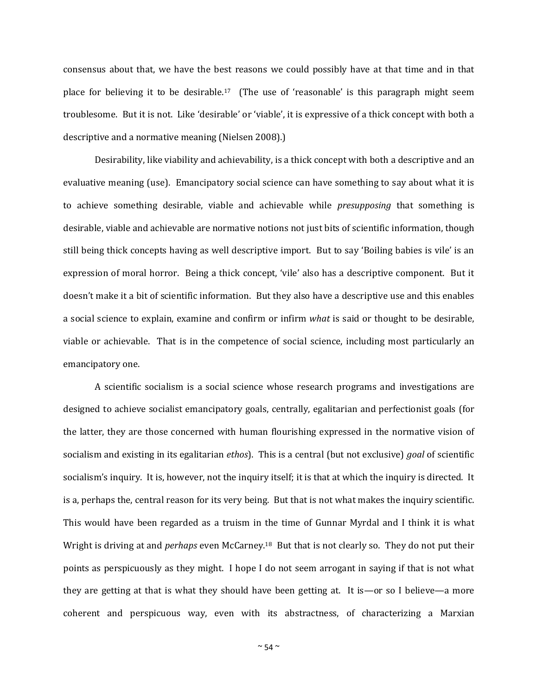consensus about that, we have the best reasons we could possibly have at that time and in that place for believing it to be desirable.<sup>17</sup> (The use of 'reasonable' is this paragraph might seem troublesome. But it is not. Like 'desirable' or 'viable', it is expressive of a thick concept with both a descriptive and a normative meaning (Nielsen 2008).)

Desirability, like viability and achievability, is a thick concept with both a descriptive and an evaluative meaning (use). Emancipatory social science can have something to say about what it is to achieve something desirable, viable and achievable while *presupposing* that something is desirable, viable and achievable are normative notions not just bits of scientific information, though still being thick concepts having as well descriptive import. But to say 'Boiling babies is vile' is an expression of moral horror. Being a thick concept, 'vile' also has a descriptive component. But it doesn't make it a bit of scientific information. But they also have a descriptive use and this enables a social science to explain, examine and confirm or infirm *what* is said or thought to be desirable, viable or achievable. That is in the competence of social science, including most particularly an emancipatory one.

A scientific socialism is a social science whose research programs and investigations are designed to achieve socialist emancipatory goals, centrally, egalitarian and perfectionist goals (for the latter, they are those concerned with human flourishing expressed in the normative vision of socialism and existing in its egalitarian *ethos*). This is a central (but not exclusive) *goal* of scientific socialism's inquiry. It is, however, not the inquiry itself; it is that at which the inquiry is directed. It is a, perhaps the, central reason for its very being. But that is not what makes the inquiry scientific. This would have been regarded as a truism in the time of Gunnar Myrdal and I think it is what Wright is driving at and *perhaps* even McCarney.18 But that is not clearly so. They do not put their points as perspicuously as they might. I hope I do not seem arrogant in saying if that is not what they are getting at that is what they should have been getting at. It is—or so I believe—a more coherent and perspicuous way, even with its abstractness, of characterizing a Marxian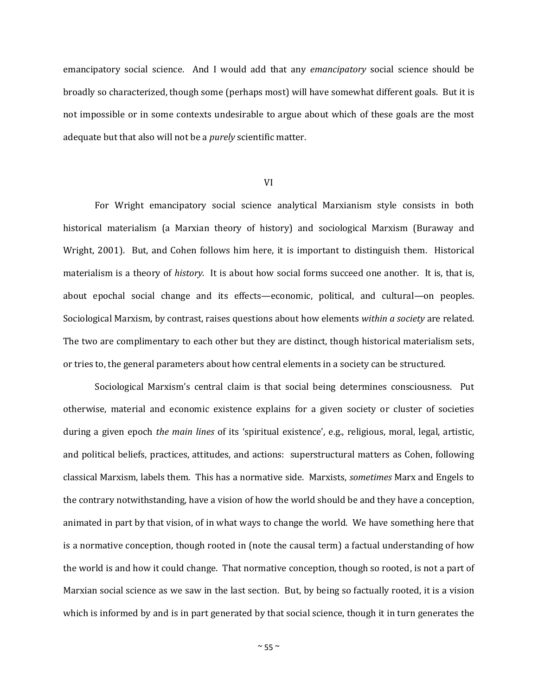emancipatory social science. And I would add that any *emancipatory* social science should be broadly so characterized, though some (perhaps most) will have somewhat different goals. But it is not impossible or in some contexts undesirable to argue about which of these goals are the most adequate but that also will not be a *purely* scientific matter.

#### VI

For Wright emancipatory social science analytical Marxianism style consists in both historical materialism (a Marxian theory of history) and sociological Marxism (Buraway and Wright, 2001). But, and Cohen follows him here, it is important to distinguish them. Historical materialism is a theory of *history*. It is about how social forms succeed one another. It is, that is, about epochal social change and its effects—economic, political, and cultural—on peoples. Sociological Marxism, by contrast, raises questions about how elements *within a society* are related. The two are complimentary to each other but they are distinct, though historical materialism sets, or tries to, the general parameters about how central elements in a society can be structured.

Sociological Marxism's central claim is that social being determines consciousness. Put otherwise, material and economic existence explains for a given society or cluster of societies during a given epoch *the main lines* of its 'spiritual existence', e.g., religious, moral, legal, artistic, and political beliefs, practices, attitudes, and actions: superstructural matters as Cohen, following classical Marxism, labels them. This has a normative side. Marxists, *sometimes* Marx and Engels to the contrary notwithstanding, have a vision of how the world should be and they have a conception, animated in part by that vision, of in what ways to change the world. We have something here that is a normative conception, though rooted in (note the causal term) a factual understanding of how the world is and how it could change. That normative conception, though so rooted, is not a part of Marxian social science as we saw in the last section. But, by being so factually rooted, it is a vision which is informed by and is in part generated by that social science, though it in turn generates the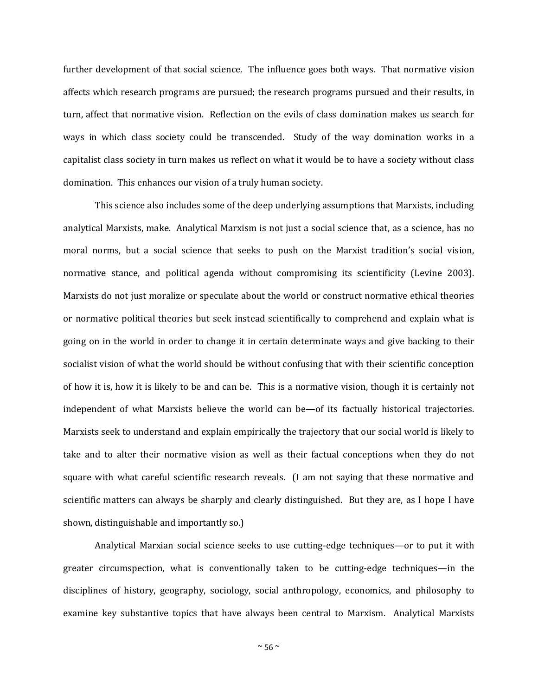further development of that social science. The influence goes both ways. That normative vision affects which research programs are pursued; the research programs pursued and their results, in turn, affect that normative vision. Reflection on the evils of class domination makes us search for ways in which class society could be transcended. Study of the way domination works in a capitalist class society in turn makes us reflect on what it would be to have a society without class domination. This enhances our vision of a truly human society.

This science also includes some of the deep underlying assumptions that Marxists, including analytical Marxists, make. Analytical Marxism is not just a social science that, as a science, has no moral norms, but a social science that seeks to push on the Marxist tradition's social vision, normative stance, and political agenda without compromising its scientificity (Levine 2003). Marxists do not just moralize or speculate about the world or construct normative ethical theories or normative political theories but seek instead scientifically to comprehend and explain what is going on in the world in order to change it in certain determinate ways and give backing to their socialist vision of what the world should be without confusing that with their scientific conception of how it is, how it is likely to be and can be. This is a normative vision, though it is certainly not independent of what Marxists believe the world can be—of its factually historical trajectories. Marxists seek to understand and explain empirically the trajectory that our social world is likely to take and to alter their normative vision as well as their factual conceptions when they do not square with what careful scientific research reveals. (I am not saying that these normative and scientific matters can always be sharply and clearly distinguished. But they are, as I hope I have shown, distinguishable and importantly so.)

Analytical Marxian social science seeks to use cutting-edge techniques—or to put it with greater circumspection, what is conventionally taken to be cutting-edge techniques—in the disciplines of history, geography, sociology, social anthropology, economics, and philosophy to examine key substantive topics that have always been central to Marxism. Analytical Marxists

 $~\sim$  56  $\sim$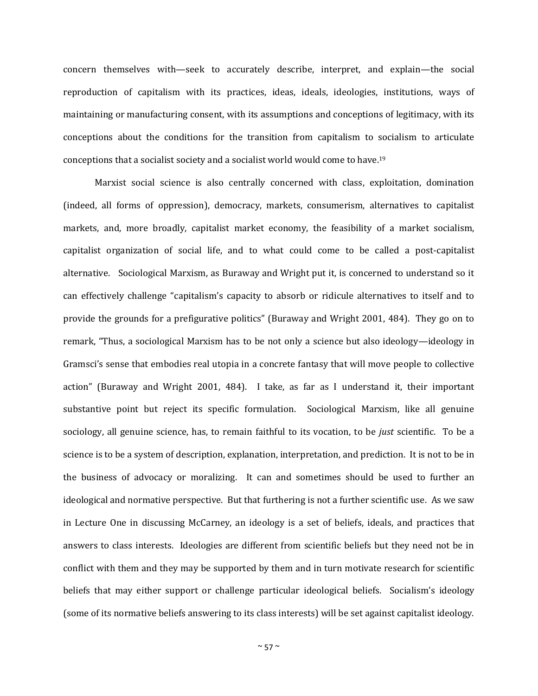concern themselves with—seek to accurately describe, interpret, and explain—the social reproduction of capitalism with its practices, ideas, ideals, ideologies, institutions, ways of maintaining or manufacturing consent, with its assumptions and conceptions of legitimacy, with its conceptions about the conditions for the transition from capitalism to socialism to articulate conceptions that a socialist society and a socialist world would come to have.<sup>19</sup>

Marxist social science is also centrally concerned with class, exploitation, domination (indeed, all forms of oppression), democracy, markets, consumerism, alternatives to capitalist markets, and, more broadly, capitalist market economy, the feasibility of a market socialism, capitalist organization of social life, and to what could come to be called a post-capitalist alternative. Sociological Marxism, as Buraway and Wright put it, is concerned to understand so it can effectively challenge "capitalism's capacity to absorb or ridicule alternatives to itself and to provide the grounds for a prefigurative politics" (Buraway and Wright 2001, 484). They go on to remark, "Thus, a sociological Marxism has to be not only a science but also ideology—ideology in Gramsci's sense that embodies real utopia in a concrete fantasy that will move people to collective action" (Buraway and Wright 2001, 484). I take, as far as I understand it, their important substantive point but reject its specific formulation. Sociological Marxism, like all genuine sociology, all genuine science, has, to remain faithful to its vocation, to be *just* scientific. To be a science is to be a system of description, explanation, interpretation, and prediction. It is not to be in the business of advocacy or moralizing. It can and sometimes should be used to further an ideological and normative perspective. But that furthering is not a further scientific use. As we saw in Lecture One in discussing McCarney, an ideology is a set of beliefs, ideals, and practices that answers to class interests. Ideologies are different from scientific beliefs but they need not be in conflict with them and they may be supported by them and in turn motivate research for scientific beliefs that may either support or challenge particular ideological beliefs. Socialism's ideology (some of its normative beliefs answering to its class interests) will be set against capitalist ideology.

 $~\sim$  57  $\sim$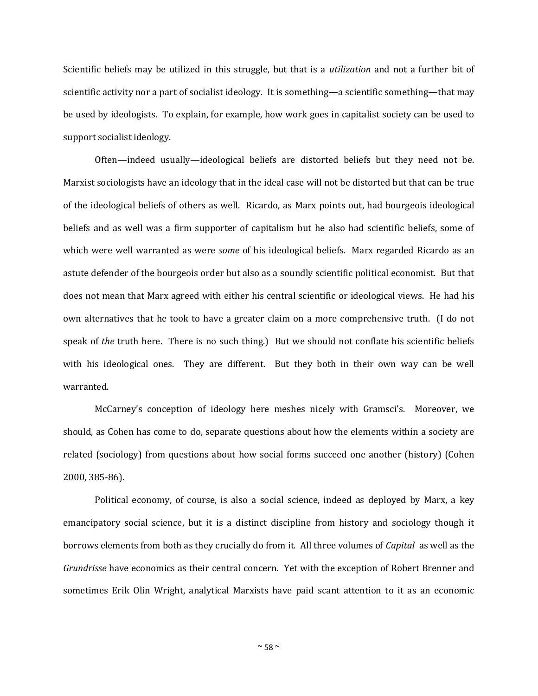Scientific beliefs may be utilized in this struggle, but that is a *utilization* and not a further bit of scientific activity nor a part of socialist ideology. It is something—a scientific something—that may be used by ideologists. To explain, for example, how work goes in capitalist society can be used to support socialist ideology.

Often—indeed usually—ideological beliefs are distorted beliefs but they need not be. Marxist sociologists have an ideology that in the ideal case will not be distorted but that can be true of the ideological beliefs of others as well. Ricardo, as Marx points out, had bourgeois ideological beliefs and as well was a firm supporter of capitalism but he also had scientific beliefs, some of which were well warranted as were *some* of his ideological beliefs. Marx regarded Ricardo as an astute defender of the bourgeois order but also as a soundly scientific political economist. But that does not mean that Marx agreed with either his central scientific or ideological views. He had his own alternatives that he took to have a greater claim on a more comprehensive truth. (I do not speak of *the* truth here. There is no such thing.) But we should not conflate his scientific beliefs with his ideological ones. They are different. But they both in their own way can be well warranted.

McCarney's conception of ideology here meshes nicely with Gramsci's. Moreover, we should, as Cohen has come to do, separate questions about how the elements within a society are related (sociology) from questions about how social forms succeed one another (history) (Cohen 2000, 385-86).

Political economy, of course, is also a social science, indeed as deployed by Marx, a key emancipatory social science, but it is a distinct discipline from history and sociology though it borrows elements from both as they crucially do from it. All three volumes of *Capital* as well as the *Grundrisse* have economics as their central concern. Yet with the exception of Robert Brenner and sometimes Erik Olin Wright, analytical Marxists have paid scant attention to it as an economic

 $~\sim$  58  $\sim$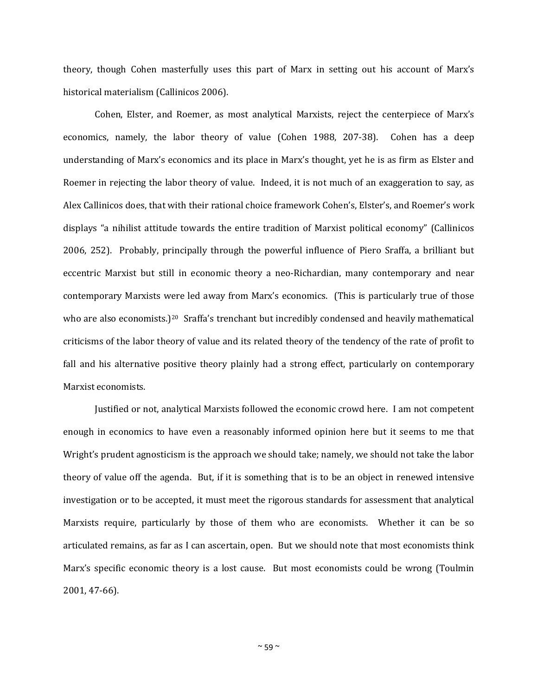theory, though Cohen masterfully uses this part of Marx in setting out his account of Marx's historical materialism (Callinicos 2006).

Cohen, Elster, and Roemer, as most analytical Marxists, reject the centerpiece of Marx's economics, namely, the labor theory of value (Cohen 1988, 207-38). Cohen has a deep understanding of Marx's economics and its place in Marx's thought, yet he is as firm as Elster and Roemer in rejecting the labor theory of value. Indeed, it is not much of an exaggeration to say, as Alex Callinicos does, that with their rational choice framework Cohen's, Elster's, and Roemer's work displays "a nihilist attitude towards the entire tradition of Marxist political economy" (Callinicos 2006, 252). Probably, principally through the powerful influence of Piero Sraffa, a brilliant but eccentric Marxist but still in economic theory a neo-Richardian, many contemporary and near contemporary Marxists were led away from Marx's economics. (This is particularly true of those who are also economists.)<sup>20</sup> Sraffa's trenchant but incredibly condensed and heavily mathematical criticisms of the labor theory of value and its related theory of the tendency of the rate of profit to fall and his alternative positive theory plainly had a strong effect, particularly on contemporary Marxist economists.

Justified or not, analytical Marxists followed the economic crowd here. I am not competent enough in economics to have even a reasonably informed opinion here but it seems to me that Wright's prudent agnosticism is the approach we should take; namely, we should not take the labor theory of value off the agenda. But, if it is something that is to be an object in renewed intensive investigation or to be accepted, it must meet the rigorous standards for assessment that analytical Marxists require, particularly by those of them who are economists. Whether it can be so articulated remains, as far as I can ascertain, open. But we should note that most economists think Marx's specific economic theory is a lost cause. But most economists could be wrong (Toulmin 2001, 47-66).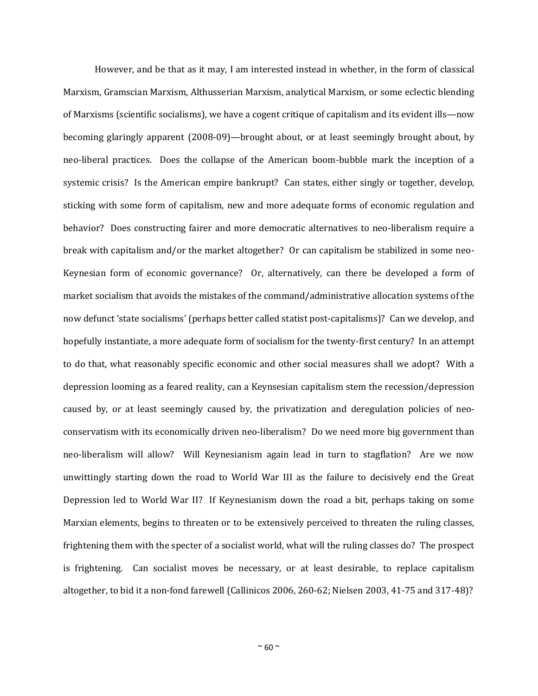However, and be that as it may, I am interested instead in whether, in the form of classical Marxism, Gramscian Marxism, Althusserian Marxism, analytical Marxism, or some eclectic blending of Marxisms (scientific socialisms), we have a cogent critique of capitalism and its evident ills—now becoming glaringly apparent (2008-09)—brought about, or at least seemingly brought about, by neo-liberal practices. Does the collapse of the American boom-bubble mark the inception of a systemic crisis? Is the American empire bankrupt? Can states, either singly or together, develop, sticking with some form of capitalism, new and more adequate forms of economic regulation and behavior? Does constructing fairer and more democratic alternatives to neo-liberalism require a break with capitalism and/or the market altogether? Or can capitalism be stabilized in some neo-Keynesian form of economic governance? Or, alternatively, can there be developed a form of market socialism that avoids the mistakes of the command/administrative allocation systems of the now defunct 'state socialisms' (perhaps better called statist post-capitalisms)? Can we develop, and hopefully instantiate, a more adequate form of socialism for the twenty-first century? In an attempt to do that, what reasonably specific economic and other social measures shall we adopt? With a depression looming as a feared reality, can a Keynsesian capitalism stem the recession/depression caused by, or at least seemingly caused by, the privatization and deregulation policies of neoconservatism with its economically driven neo-liberalism? Do we need more big government than neo-liberalism will allow? Will Keynesianism again lead in turn to stagflation? Are we now unwittingly starting down the road to World War III as the failure to decisively end the Great Depression led to World War II? If Keynesianism down the road a bit, perhaps taking on some Marxian elements, begins to threaten or to be extensively perceived to threaten the ruling classes, frightening them with the specter of a socialist world, what will the ruling classes do? The prospect is frightening. Can socialist moves be necessary, or at least desirable, to replace capitalism altogether, to bid it a non-fond farewell (Callinicos 2006, 260-62; Nielsen 2003, 41-75 and 317-48)?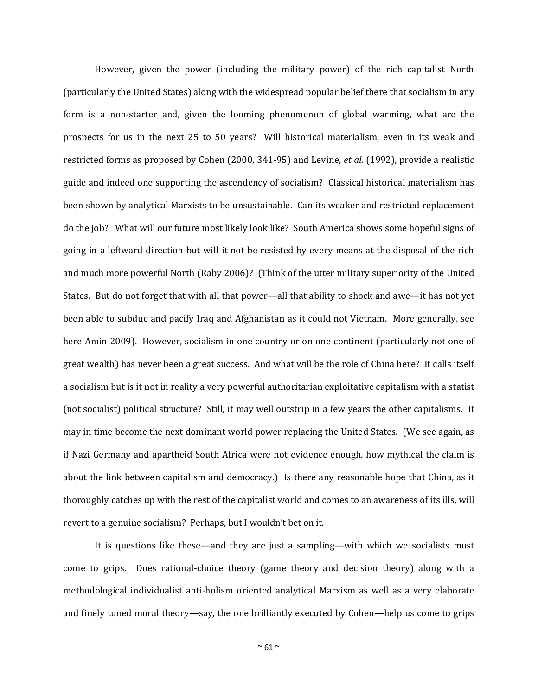However, given the power (including the military power) of the rich capitalist North (particularly the United States) along with the widespread popular belief there that socialism in any form is a non-starter and, given the looming phenomenon of global warming, what are the prospects for us in the next 25 to 50 years? Will historical materialism, even in its weak and restricted forms as proposed by Cohen (2000, 341-95) and Levine, *et al.* (1992), provide a realistic guide and indeed one supporting the ascendency of socialism? Classical historical materialism has been shown by analytical Marxists to be unsustainable. Can its weaker and restricted replacement do the job? What will our future most likely look like? South America shows some hopeful signs of going in a leftward direction but will it not be resisted by every means at the disposal of the rich and much more powerful North (Raby 2006)? (Think of the utter military superiority of the United States. But do not forget that with all that power—all that ability to shock and awe—it has not yet been able to subdue and pacify Iraq and Afghanistan as it could not Vietnam. More generally, see here Amin 2009). However, socialism in one country or on one continent (particularly not one of great wealth) has never been a great success. And what will be the role of China here? It calls itself a socialism but is it not in reality a very powerful authoritarian exploitative capitalism with a statist (not socialist) political structure? Still, it may well outstrip in a few years the other capitalisms. It may in time become the next dominant world power replacing the United States. (We see again, as if Nazi Germany and apartheid South Africa were not evidence enough, how mythical the claim is about the link between capitalism and democracy.) Is there any reasonable hope that China, as it thoroughly catches up with the rest of the capitalist world and comes to an awareness of its ills, will revert to a genuine socialism? Perhaps, but I wouldn't bet on it.

It is questions like these—and they are just a sampling—with which we socialists must come to grips. Does rational-choice theory (game theory and decision theory) along with a methodological individualist anti-holism oriented analytical Marxism as well as a very elaborate and finely tuned moral theory—say, the one brilliantly executed by Cohen—help us come to grips

 $~\sim$  61  $\sim$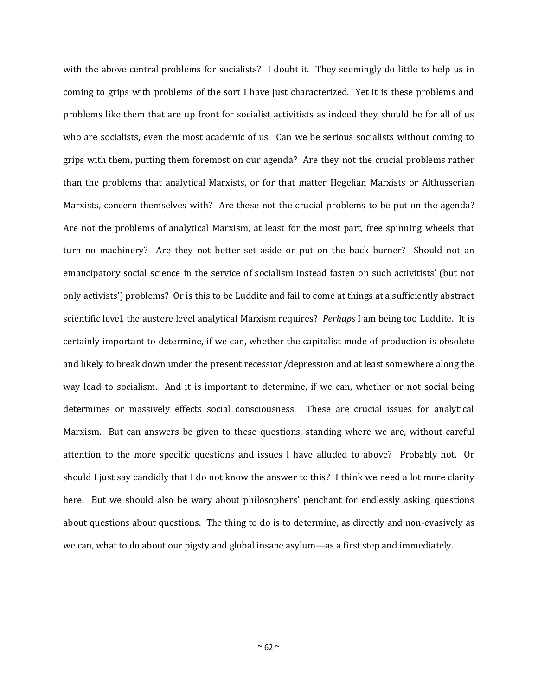with the above central problems for socialists? I doubt it. They seemingly do little to help us in coming to grips with problems of the sort I have just characterized. Yet it is these problems and problems like them that are up front for socialist activitists as indeed they should be for all of us who are socialists, even the most academic of us. Can we be serious socialists without coming to grips with them, putting them foremost on our agenda? Are they not the crucial problems rather than the problems that analytical Marxists, or for that matter Hegelian Marxists or Althusserian Marxists, concern themselves with? Are these not the crucial problems to be put on the agenda? Are not the problems of analytical Marxism, at least for the most part, free spinning wheels that turn no machinery? Are they not better set aside or put on the back burner? Should not an emancipatory social science in the service of socialism instead fasten on such activitists' (but not only activists') problems? Or is this to be Luddite and fail to come at things at a sufficiently abstract scientific level, the austere level analytical Marxism requires? *Perhaps* I am being too Luddite. It is certainly important to determine, if we can, whether the capitalist mode of production is obsolete and likely to break down under the present recession/depression and at least somewhere along the way lead to socialism. And it is important to determine, if we can, whether or not social being determines or massively effects social consciousness. These are crucial issues for analytical Marxism. But can answers be given to these questions, standing where we are, without careful attention to the more specific questions and issues I have alluded to above? Probably not. Or should I just say candidly that I do not know the answer to this? I think we need a lot more clarity here. But we should also be wary about philosophers' penchant for endlessly asking questions about questions about questions. The thing to do is to determine, as directly and non-evasively as we can, what to do about our pigsty and global insane asylum—as a first step and immediately.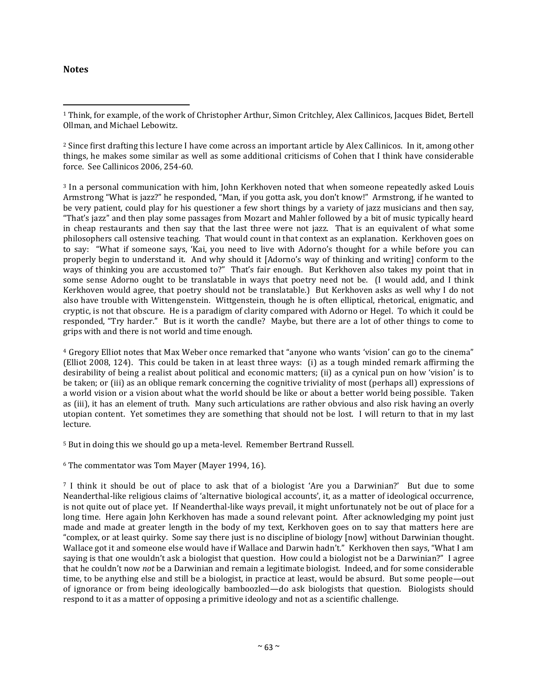## **Notes**

 $\overline{a}$ 

<sup>1</sup> Think, for example, of the work of Christopher Arthur, Simon Critchley, Alex Callinicos, Jacques Bidet, Bertell Ollman, and Michael Lebowitz.

<sup>2</sup> Since first drafting this lecture I have come across an important article by Alex Callinicos. In it, among other things, he makes some similar as well as some additional criticisms of Cohen that I think have considerable force. See Callinicos 2006, 254-60.

<sup>3</sup> In a personal communication with him, John Kerkhoven noted that when someone repeatedly asked Louis Armstrong "What is jazz?" he responded, "Man, if you gotta ask, you don't know!" Armstrong, if he wanted to be very patient, could play for his questioner a few short things by a variety of jazz musicians and then say, "That's jazz" and then play some passages from Mozart and Mahler followed by a bit of music typically heard in cheap restaurants and then say that the last three were not jazz. That is an equivalent of what some philosophers call ostensive teaching. That would count in that context as an explanation. Kerkhoven goes on to say: "What if someone says, 'Kai, you need to live with Adorno's thought for a while before you can properly begin to understand it. And why should it [Adorno's way of thinking and writing] conform to the ways of thinking you are accustomed to?" That's fair enough. But Kerkhoven also takes my point that in some sense Adorno ought to be translatable in ways that poetry need not be. (I would add, and I think Kerkhoven would agree, that poetry should not be translatable.) But Kerkhoven asks as well why I do not also have trouble with Wittengenstein. Wittgenstein, though he is often elliptical, rhetorical, enigmatic, and cryptic, is not that obscure. He is a paradigm of clarity compared with Adorno or Hegel. To which it could be responded, "Try harder." But is it worth the candle? Maybe, but there are a lot of other things to come to grips with and there is not world and time enough.

<sup>4</sup> Gregory Elliot notes that Max Weber once remarked that "anyone who wants 'vision' can go to the cinema" (Elliot 2008, 124). This could be taken in at least three ways: (i) as a tough minded remark affirming the desirability of being a realist about political and economic matters; (ii) as a cynical pun on how 'vision' is to be taken; or (iii) as an oblique remark concerning the cognitive triviality of most (perhaps all) expressions of a world vision or a vision about what the world should be like or about a better world being possible. Taken as (iii), it has an element of truth. Many such articulations are rather obvious and also risk having an overly utopian content. Yet sometimes they are something that should not be lost. I will return to that in my last lecture.

<sup>5</sup> But in doing this we should go up a meta-level. Remember Bertrand Russell.

<sup>6</sup> The commentator was Tom Mayer (Mayer 1994, 16).

<sup>7</sup> I think it should be out of place to ask that of a biologist 'Are you a Darwinian?' But due to some Neanderthal-like religious claims of 'alternative biological accounts', it, as a matter of ideological occurrence, is not quite out of place yet. If Neanderthal-like ways prevail, it might unfortunately not be out of place for a long time. Here again John Kerkhoven has made a sound relevant point. After acknowledging my point just made and made at greater length in the body of my text, Kerkhoven goes on to say that matters here are "complex, or at least quirky. Some say there just is no discipline of biology [now] without Darwinian thought. Wallace got it and someone else would have if Wallace and Darwin hadn't." Kerkhoven then says, "What I am saying is that one wouldn't ask a biologist that question. How could a biologist not be a Darwinian?" I agree that he couldn't now *not* be a Darwinian and remain a legitimate biologist. Indeed, and for some considerable time, to be anything else and still be a biologist, in practice at least, would be absurd. But some people—out of ignorance or from being ideologically bamboozled—do ask biologists that question. Biologists should respond to it as a matter of opposing a primitive ideology and not as a scientific challenge.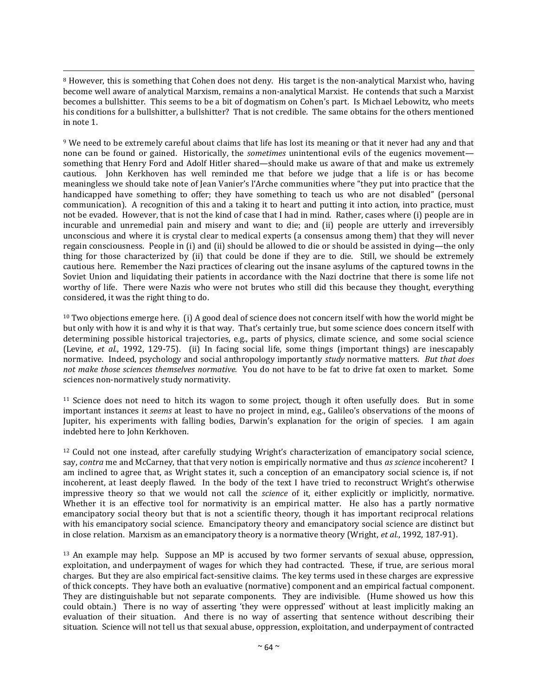$\overline{a}$ <sup>8</sup> However, this is something that Cohen does not deny. His target is the non-analytical Marxist who, having become well aware of analytical Marxism, remains a non-analytical Marxist. He contends that such a Marxist becomes a bullshitter. This seems to be a bit of dogmatism on Cohen's part. Is Michael Lebowitz, who meets his conditions for a bullshitter, a bullshitter? That is not credible. The same obtains for the others mentioned in note 1.

<sup>9</sup> We need to be extremely careful about claims that life has lost its meaning or that it never had any and that none can be found or gained. Historically, the *sometimes* unintentional evils of the eugenics movement something that Henry Ford and Adolf Hitler shared—should make us aware of that and make us extremely cautious. John Kerkhoven has well reminded me that before we judge that a life is or has become meaningless we should take note of Jean Vanier's l'Arche communities where "they put into practice that the handicapped have something to offer; they have something to teach us who are not disabled" (personal communication). A recognition of this and a taking it to heart and putting it into action, into practice, must not be evaded. However, that is not the kind of case that I had in mind. Rather, cases where (i) people are in incurable and unremedial pain and misery and want to die; and (ii) people are utterly and irreversibly unconscious and where it is crystal clear to medical experts (a consensus among them) that they will never regain consciousness. People in (i) and (ii) should be allowed to die or should be assisted in dying—the only thing for those characterized by (ii) that could be done if they are to die. Still, we should be extremely cautious here. Remember the Nazi practices of clearing out the insane asylums of the captured towns in the Soviet Union and liquidating their patients in accordance with the Nazi doctrine that there is some life not worthy of life. There were Nazis who were not brutes who still did this because they thought, everything considered, it was the right thing to do.

<sup>10</sup> Two objections emerge here. (i) A good deal of science does not concern itself with how the world might be but only with how it is and why it is that way. That's certainly true, but some science does concern itself with determining possible historical trajectories, e.g., parts of physics, climate science, and some social science (Levine, *et al.*, 1992, 129-75). (ii) In facing social life, some things (important things) are inescapably normative. Indeed, psychology and social anthropology importantly *study* normative matters. *But that does not make those sciences themselves normative.* You do not have to be fat to drive fat oxen to market. Some sciences non-normatively study normativity.

<sup>11</sup> Science does not need to hitch its wagon to some project, though it often usefully does. But in some important instances it *seems* at least to have no project in mind, e.g., Galileo's observations of the moons of Jupiter, his experiments with falling bodies, Darwin's explanation for the origin of species. I am again indebted here to John Kerkhoven.

<sup>12</sup> Could not one instead, after carefully studying Wright's characterization of emancipatory social science, say, *contra* me and McCarney, that that very notion is empirically normative and thus *as science* incoherent? I am inclined to agree that, as Wright states it, such a conception of an emancipatory social science is, if not incoherent, at least deeply flawed. In the body of the text I have tried to reconstruct Wright's otherwise impressive theory so that we would not call the *science* of it, either explicitly or implicitly, normative. Whether it is an effective tool for normativity is an empirical matter. He also has a partly normative emancipatory social theory but that is not a scientific theory, though it has important reciprocal relations with his emancipatory social science. Emancipatory theory and emancipatory social science are distinct but in close relation. Marxism as an emancipatory theory is a normative theory (Wright, *et al.*, 1992, 187-91).

<sup>13</sup> An example may help. Suppose an MP is accused by two former servants of sexual abuse, oppression, exploitation, and underpayment of wages for which they had contracted. These, if true, are serious moral charges. But they are also empirical fact-sensitive claims. The key terms used in these charges are expressive of thick concepts. They have both an evaluative (normative) component and an empirical factual component. They are distinguishable but not separate components. They are indivisible. (Hume showed us how this could obtain.) There is no way of asserting 'they were oppressed' without at least implicitly making an evaluation of their situation. And there is no way of asserting that sentence without describing their situation. Science will not tell us that sexual abuse, oppression, exploitation, and underpayment of contracted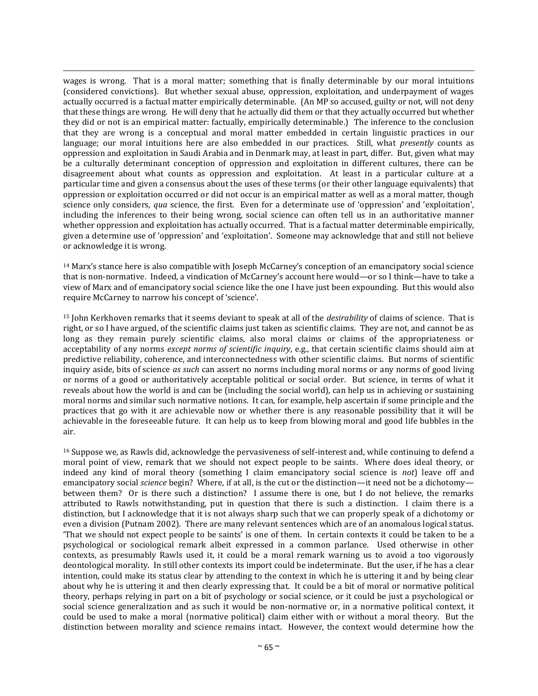$\overline{a}$ wages is wrong. That is a moral matter; something that is finally determinable by our moral intuitions (considered convictions). But whether sexual abuse, oppression, exploitation, and underpayment of wages actually occurred is a factual matter empirically determinable. (An MP so accused, guilty or not, will not deny that these things are wrong. He will deny that he actually did them or that they actually occurred but whether they did or not is an empirical matter: factually, empirically determinable.) The inference to the conclusion that they are wrong is a conceptual and moral matter embedded in certain linguistic practices in our language; our moral intuitions here are also embedded in our practices. Still, what *presently* counts as oppression and exploitation in Saudi Arabia and in Denmark may, at least in part, differ. But, given what may be a culturally determinant conception of oppression and exploitation in different cultures, there can be disagreement about what counts as oppression and exploitation. At least in a particular culture at a particular time and given a consensus about the uses of these terms (or their other language equivalents) that oppression or exploitation occurred or did not occur is an empirical matter as well as a moral matter, though science only considers, *qua* science, the first. Even for a determinate use of 'oppression' and 'exploitation', including the inferences to their being wrong, social science can often tell us in an authoritative manner whether oppression and exploitation has actually occurred. That is a factual matter determinable empirically, given a determine use of 'oppression' and 'exploitation'. Someone may acknowledge that and still not believe or acknowledge it is wrong.

<sup>14</sup> Marx's stance here is also compatible with Joseph McCarney's conception of an emancipatory social science that is non-normative. Indeed, a vindication of McCarney's account here would—or so I think—have to take a view of Marx and of emancipatory social science like the one I have just been expounding. But this would also require McCarney to narrow his concept of 'science'.

<sup>15</sup> John Kerkhoven remarks that it seems deviant to speak at all of the *desirability* of claims of science. That is right, or so I have argued, of the scientific claims just taken as scientific claims. They are not, and cannot be as long as they remain purely scientific claims, also moral claims or claims of the appropriateness or acceptability of any norms *except norms of scientific inquiry*, e.g., that certain scientific claims should aim at predictive reliability, coherence, and interconnectedness with other scientific claims. But norms of scientific inquiry aside, bits of science *as such* can assert no norms including moral norms or any norms of good living or norms of a good or authoritatively acceptable political or social order. But science, in terms of what it reveals about how the world is and can be (including the social world), can help us in achieving or sustaining moral norms and similar such normative notions. It can, for example, help ascertain if some principle and the practices that go with it are achievable now or whether there is any reasonable possibility that it will be achievable in the foreseeable future. It can help us to keep from blowing moral and good life bubbles in the air.

<sup>16</sup> Suppose we, as Rawls did, acknowledge the pervasiveness of self-interest and, while continuing to defend a moral point of view, remark that we should not expect people to be saints. Where does ideal theory, or indeed any kind of moral theory (something I claim emancipatory social science is *not*) leave off and emancipatory social *science* begin? Where, if at all, is the cut or the distinction—it need not be a dichotomy between them? Or is there such a distinction? I assume there is one, but I do not believe, the remarks attributed to Rawls notwithstanding, put in question that there is such a distinction. I claim there is a distinction, but I acknowledge that it is not always sharp such that we can properly speak of a dichotomy or even a division (Putnam 2002). There are many relevant sentences which are of an anomalous logical status. 'That we should not expect people to be saints' is one of them. In certain contexts it could be taken to be a psychological or sociological remark albeit expressed in a common parlance. Used otherwise in other contexts, as presumably Rawls used it, it could be a moral remark warning us to avoid a too vigorously deontological morality. In still other contexts its import could be indeterminate. But the user, if he has a clear intention, could make its status clear by attending to the context in which he is uttering it and by being clear about why he is uttering it and then clearly expressing that. It could be a bit of moral or normative political theory, perhaps relying in part on a bit of psychology or social science, or it could be just a psychological or social science generalization and as such it would be non-normative or, in a normative political context, it could be used to make a moral (normative political) claim either with or without a moral theory. But the distinction between morality and science remains intact. However, the context would determine how the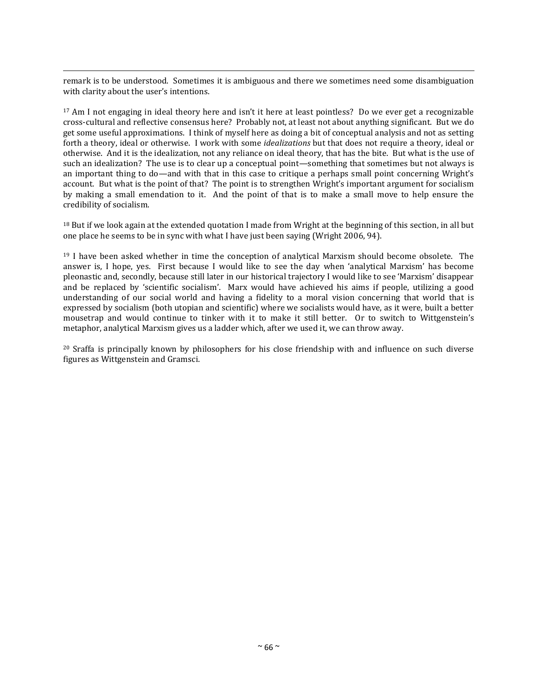$\overline{a}$ remark is to be understood. Sometimes it is ambiguous and there we sometimes need some disambiguation with clarity about the user's intentions.

<sup>17</sup> Am I not engaging in ideal theory here and isn't it here at least pointless? Do we ever get a recognizable cross-cultural and reflective consensus here? Probably not, at least not about anything significant. But we do get some useful approximations. I think of myself here as doing a bit of conceptual analysis and not as setting forth a theory, ideal or otherwise. I work with some *idealizations* but that does not require a theory, ideal or otherwise. And it is the idealization, not any reliance on ideal theory, that has the bite. But what is the use of such an idealization? The use is to clear up a conceptual point—something that sometimes but not always is an important thing to do—and with that in this case to critique a perhaps small point concerning Wright's account. But what is the point of that? The point is to strengthen Wright's important argument for socialism by making a small emendation to it. And the point of that is to make a small move to help ensure the credibility of socialism.

<sup>18</sup> But if we look again at the extended quotation I made from Wright at the beginning of this section, in all but one place he seems to be in sync with what I have just been saying (Wright 2006, 94).

<sup>19</sup> I have been asked whether in time the conception of analytical Marxism should become obsolete. The answer is, I hope, yes. First because I would like to see the day when 'analytical Marxism' has become pleonastic and, secondly, because still later in our historical trajectory I would like to see 'Marxism' disappear and be replaced by 'scientific socialism'. Marx would have achieved his aims if people, utilizing a good understanding of our social world and having a fidelity to a moral vision concerning that world that is expressed by socialism (both utopian and scientific) where we socialists would have, as it were, built a better mousetrap and would continue to tinker with it to make it still better. Or to switch to Wittgenstein's metaphor, analytical Marxism gives us a ladder which, after we used it, we can throw away.

 $20$  Sraffa is principally known by philosophers for his close friendship with and influence on such diverse figures as Wittgenstein and Gramsci.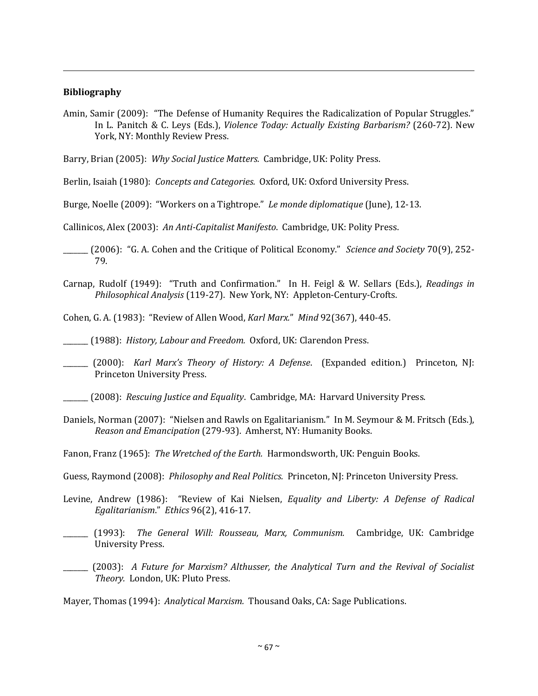## **Bibliography**

 $\overline{a}$ 

Amin, Samir (2009): "The Defense of Humanity Requires the Radicalization of Popular Struggles." In L. Panitch & C. Leys (Eds.), *Violence Today: Actually Existing Barbarism?* (260-72). New York, NY: Monthly Review Press.

Barry, Brian (2005): *Why Social Justice Matters.* Cambridge, UK: Polity Press.

Berlin, Isaiah (1980): *Concepts and Categories.* Oxford, UK: Oxford University Press.

Burge, Noelle (2009): "Workers on a Tightrope." *Le monde diplomatique* (June), 12-13.

Callinicos, Alex (2003): *An Anti-Capitalist Manifesto*. Cambridge, UK: Polity Press.

\_\_\_\_\_\_\_ (2006): "G. A. Cohen and the Critique of Political Economy." *Science and Society* 70(9), 252- 79.

Carnap, Rudolf (1949): "Truth and Confirmation." In H. Feigl & W. Sellars (Eds.), *Readings in Philosophical Analysis* (119-27). New York, NY: Appleton-Century-Crofts.

Cohen, G. A. (1983): "Review of Allen Wood, *Karl Marx.*" *Mind* 92(367), 440-45.

\_\_\_\_\_\_\_ (1988): *History, Labour and Freedom.* Oxford, UK: Clarendon Press.

\_\_\_\_\_\_\_ (2000): *Karl Marx's Theory of History: A Defense*. (Expanded edition.) Princeton, NJ: Princeton University Press.

\_\_\_\_\_\_\_ (2008): *Rescuing Justice and Equality*. Cambridge, MA: Harvard University Press.

Daniels, Norman (2007): "Nielsen and Rawls on Egalitarianism." In M. Seymour & M. Fritsch (Eds.), *Reason and Emancipation* (279-93). Amherst, NY: Humanity Books.

Fanon, Franz (1965): *The Wretched of the Earth.* Harmondsworth, UK: Penguin Books.

Guess, Raymond (2008): *Philosophy and Real Politics.* Princeton, NJ: Princeton University Press.

- Levine, Andrew (1986): "Review of Kai Nielsen, *Equality and Liberty: A Defense of Radical Egalitarianism*." *Ethics* 96(2), 416-17.
- \_\_\_\_\_\_\_ (1993): *The General Will: Rousseau, Marx, Communism.* Cambridge, UK: Cambridge University Press.

\_\_\_\_\_\_\_ (2003): *A Future for Marxism? Althusser, the Analytical Turn and the Revival of Socialist Theory.* London, UK: Pluto Press.

Mayer, Thomas (1994): *Analytical Marxism.* Thousand Oaks, CA: Sage Publications.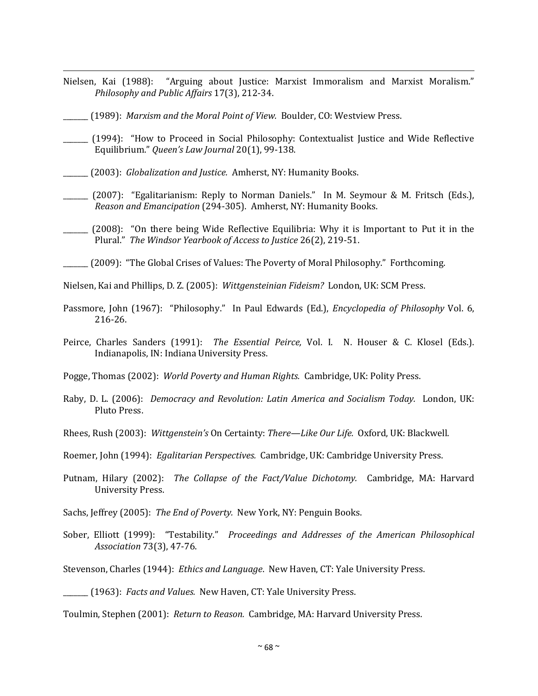- Nielsen, Kai (1988): "Arguing about Justice: Marxist Immoralism and Marxist Moralism." *Philosophy and Public Affairs* 17(3), 212-34.
- \_\_\_\_\_\_\_ (1989): *Marxism and the Moral Point of View.* Boulder, CO: Westview Press.
- \_\_\_\_\_\_\_ (1994): "How to Proceed in Social Philosophy: Contextualist Justice and Wide Reflective Equilibrium." *Queen's Law Journal* 20(1), 99-138.
- \_\_\_\_\_\_\_ (2003): *Globalization and Justice.* Amherst, NY: Humanity Books.

 $\overline{a}$ 

- \_\_\_\_\_\_\_ (2007): "Egalitarianism: Reply to Norman Daniels." In M. Seymour & M. Fritsch (Eds.), *Reason and Emancipation* (294-305). Amherst, NY: Humanity Books.
- \_\_\_\_\_\_\_ (2008): "On there being Wide Reflective Equilibria: Why it is Important to Put it in the Plural." *The Windsor Yearbook of Access to Justice* 26(2), 219-51.
- (2009): "The Global Crises of Values: The Poverty of Moral Philosophy." Forthcoming.

Nielsen, Kai and Phillips, D. Z. (2005): *Wittgensteinian Fideism?* London, UK: SCM Press.

- Passmore, John (1967): "Philosophy." In Paul Edwards (Ed.), *Encyclopedia of Philosophy* Vol. 6, 216-26.
- Peirce, Charles Sanders (1991): *The Essential Peirce,* Vol. I. N. Houser & C. Klosel (Eds.). Indianapolis, IN: Indiana University Press.

Pogge, Thomas (2002): *World Poverty and Human Rights.* Cambridge, UK: Polity Press.

- Raby, D. L. (2006): *Democracy and Revolution: Latin America and Socialism Today.* London, UK: Pluto Press.
- Rhees, Rush (2003): *Wittgenstein's* On Certainty: *There—Like Our Life.* Oxford, UK: Blackwell.

Roemer, John (1994): *Egalitarian Perspectives.* Cambridge, UK: Cambridge University Press.

- Putnam, Hilary (2002): *The Collapse of the Fact/Value Dichotomy.* Cambridge, MA: Harvard University Press.
- Sachs, Jeffrey (2005): *The End of Poverty.* New York, NY: Penguin Books.
- Sober, Elliott (1999): "Testability." *Proceedings and Addresses of the American Philosophical Association* 73(3), 47-76.

Stevenson, Charles (1944): *Ethics and Language*. New Haven, CT: Yale University Press.

\_\_\_\_\_\_\_ (1963): *Facts and Values.* New Haven, CT: Yale University Press.

Toulmin, Stephen (2001): *Return to Reason.* Cambridge, MA: Harvard University Press.